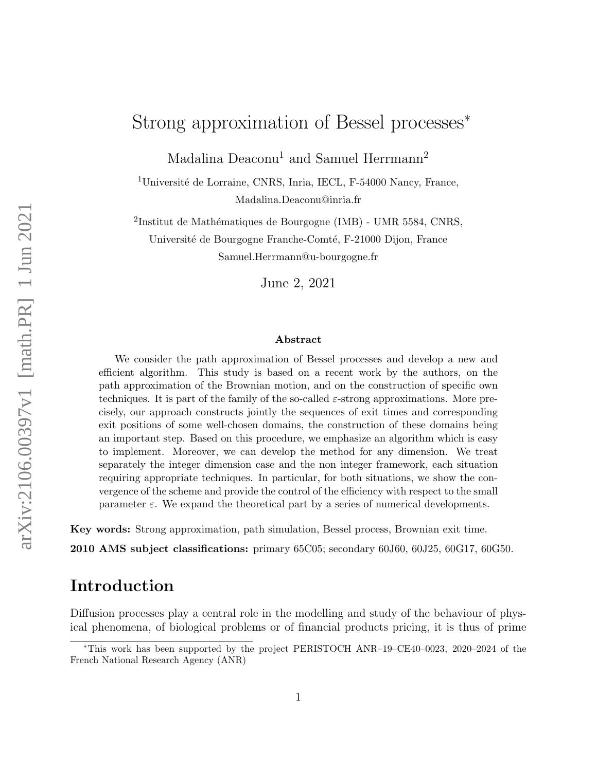# Strong approximation of Bessel processes<sup>∗</sup>

Madalina Deaconu<sup>1</sup> and Samuel Herrmann<sup>2</sup>

<sup>1</sup>Université de Lorraine, CNRS, Inria, IECL, F-54000 Nancy, France, Madalina.Deaconu@inria.fr

<sup>2</sup>Institut de Mathématiques de Bourgogne (IMB) - UMR 5584, CNRS, Université de Bourgogne Franche-Comté, F-21000 Dijon, France Samuel.Herrmann@u-bourgogne.fr

June 2, 2021

#### Abstract

We consider the path approximation of Bessel processes and develop a new and efficient algorithm. This study is based on a recent work by the authors, on the path approximation of the Brownian motion, and on the construction of specific own techniques. It is part of the family of the so-called  $\varepsilon$ -strong approximations. More precisely, our approach constructs jointly the sequences of exit times and corresponding exit positions of some well-chosen domains, the construction of these domains being an important step. Based on this procedure, we emphasize an algorithm which is easy to implement. Moreover, we can develop the method for any dimension. We treat separately the integer dimension case and the non integer framework, each situation requiring appropriate techniques. In particular, for both situations, we show the convergence of the scheme and provide the control of the efficiency with respect to the small parameter  $\varepsilon$ . We expand the theoretical part by a series of numerical developments.

Key words: Strong approximation, path simulation, Bessel process, Brownian exit time.

2010 AMS subject classifications: primary 65C05; secondary 60J60, 60J25, 60G17, 60G50.

## Introduction

Diffusion processes play a central role in the modelling and study of the behaviour of physical phenomena, of biological problems or of financial products pricing, it is thus of prime

<sup>∗</sup>This work has been supported by the project PERISTOCH ANR–19–CE40–0023, 2020–2024 of the French National Research Agency (ANR)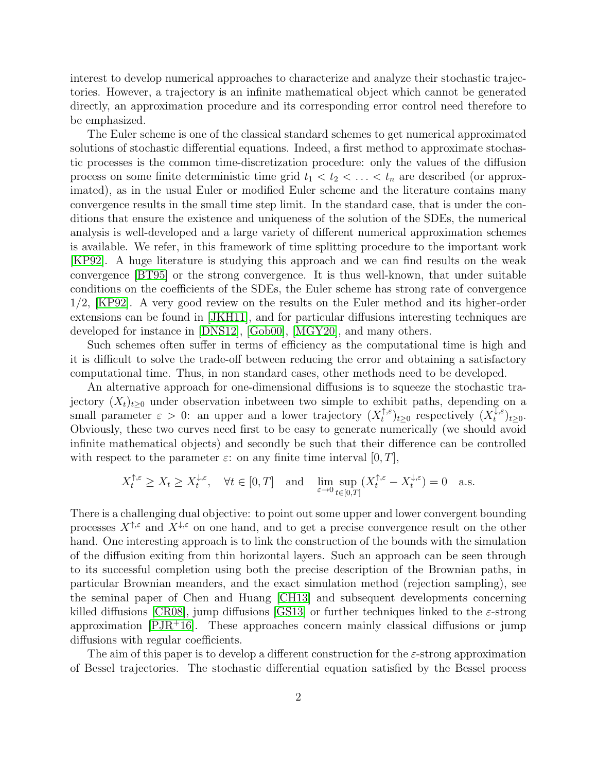interest to develop numerical approaches to characterize and analyze their stochastic trajectories. However, a trajectory is an infinite mathematical object which cannot be generated directly, an approximation procedure and its corresponding error control need therefore to be emphasized.

The Euler scheme is one of the classical standard schemes to get numerical approximated solutions of stochastic differential equations. Indeed, a first method to approximate stochastic processes is the common time-discretization procedure: only the values of the diffusion process on some finite deterministic time grid  $t_1 < t_2 < \ldots < t_n$  are described (or approximated), as in the usual Euler or modified Euler scheme and the literature contains many convergence results in the small time step limit. In the standard case, that is under the conditions that ensure the existence and uniqueness of the solution of the SDEs, the numerical analysis is well-developed and a large variety of different numerical approximation schemes is available. We refer, in this framework of time splitting procedure to the important work [\[KP92\]](#page-23-0). A huge literature is studying this approach and we can find results on the weak convergence [\[BT95\]](#page-22-0) or the strong convergence. It is thus well-known, that under suitable conditions on the coefficients of the SDEs, the Euler scheme has strong rate of convergence 1/2, [\[KP92\]](#page-23-0). A very good review on the results on the Euler method and its higher-order extensions can be found in [\[JKH11\]](#page-23-1), and for particular diffusions interesting techniques are developed for instance in [\[DNS12\]](#page-23-2), [\[Gob00\]](#page-23-3), [\[MGY20\]](#page-23-4), and many others.

Such schemes often suffer in terms of efficiency as the computational time is high and it is difficult to solve the trade-off between reducing the error and obtaining a satisfactory computational time. Thus, in non standard cases, other methods need to be developed.

An alternative approach for one-dimensional diffusions is to squeeze the stochastic trajectory  $(X_t)_{t>0}$  under observation inbetween two simple to exhibit paths, depending on a small parameter  $\varepsilon > 0$ : an upper and a lower trajectory  $(X_t^{\uparrow,\varepsilon})$  $(t_t^{\uparrow,\varepsilon})_{t\geq 0}$  respectively  $(X_t^{\overline{\downarrow},\varepsilon})$  $t^{+\varepsilon}$ <sub>t</sub> $\geq 0$ . Obviously, these two curves need first to be easy to generate numerically (we should avoid infinite mathematical objects) and secondly be such that their difference can be controlled with respect to the parameter  $\varepsilon$ : on any finite time interval  $[0, T]$ ,

$$
X_t^{\uparrow,\varepsilon} \ge X_t \ge X_t^{\downarrow,\varepsilon}, \quad \forall t \in [0,T] \quad \text{and} \quad \lim_{\varepsilon \to 0} \sup_{t \in [0,T]} (X_t^{\uparrow,\varepsilon} - X_t^{\downarrow,\varepsilon}) = 0 \quad \text{a.s.}
$$

There is a challenging dual objective: to point out some upper and lower convergent bounding processes  $X^{\uparrow,\varepsilon}$  and  $X^{\downarrow,\varepsilon}$  on one hand, and to get a precise convergence result on the other hand. One interesting approach is to link the construction of the bounds with the simulation of the diffusion exiting from thin horizontal layers. Such an approach can be seen through to its successful completion using both the precise description of the Brownian paths, in particular Brownian meanders, and the exact simulation method (rejection sampling), see the seminal paper of Chen and Huang [\[CH13\]](#page-22-1) and subsequent developments concerning killed diffusions [\[CR08\]](#page-23-5), jump diffusions [\[GS13\]](#page-23-6) or further techniques linked to the  $\varepsilon$ -strong approximation  $[PIR+16]$ . These approaches concern mainly classical diffusions or jump diffusions with regular coefficients.

The aim of this paper is to develop a different construction for the  $\varepsilon$ -strong approximation of Bessel trajectories. The stochastic differential equation satisfied by the Bessel process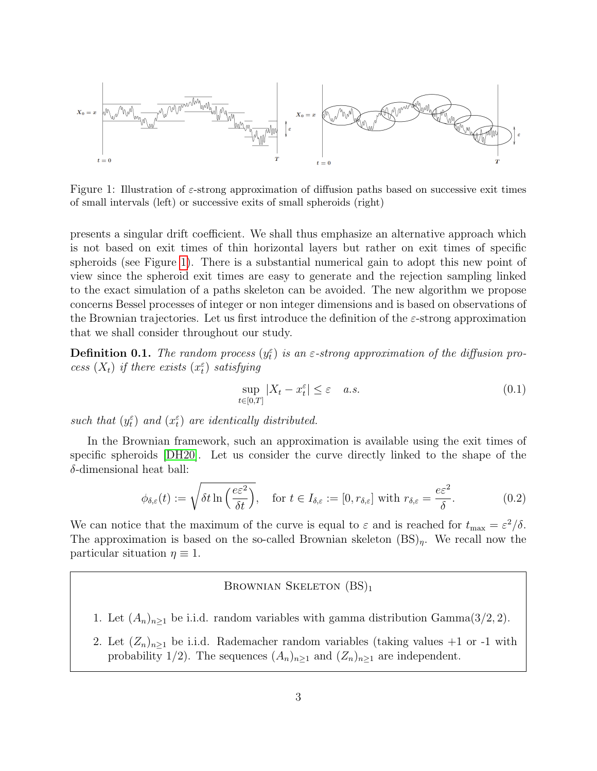

<span id="page-2-0"></span>Figure 1: Illustration of ε-strong approximation of diffusion paths based on successive exit times of small intervals (left) or successive exits of small spheroids (right)

presents a singular drift coefficient. We shall thus emphasize an alternative approach which is not based on exit times of thin horizontal layers but rather on exit times of specific spheroids (see Figure [1\)](#page-2-0). There is a substantial numerical gain to adopt this new point of view since the spheroid exit times are easy to generate and the rejection sampling linked to the exact simulation of a paths skeleton can be avoided. The new algorithm we propose concerns Bessel processes of integer or non integer dimensions and is based on observations of the Brownian trajectories. Let us first introduce the definition of the  $\varepsilon$ -strong approximation that we shall consider throughout our study.

<span id="page-2-2"></span>**Definition 0.1.** The random process  $(y_t^{\varepsilon})$  is an  $\varepsilon$ -strong approximation of the diffusion process  $(X_t)$  if there exists  $(x_t^{\varepsilon})$  satisfying

$$
\sup_{t \in [0,T]} |X_t - x_t^{\varepsilon}| \le \varepsilon \quad a.s. \tag{0.1}
$$

such that  $(y_t^{\varepsilon})$  and  $(x_t^{\varepsilon})$  are identically distributed.

In the Brownian framework, such an approximation is available using the exit times of specific spheroids [\[DH20\]](#page-23-8). Let us consider the curve directly linked to the shape of the  $\delta$ -dimensional heat ball:

<span id="page-2-1"></span>
$$
\phi_{\delta,\varepsilon}(t) := \sqrt{\delta t \ln\left(\frac{e\varepsilon^2}{\delta t}\right)}, \quad \text{for } t \in I_{\delta,\varepsilon} := [0, r_{\delta,\varepsilon}] \text{ with } r_{\delta,\varepsilon} = \frac{e\varepsilon^2}{\delta}.
$$
 (0.2)

We can notice that the maximum of the curve is equal to  $\varepsilon$  and is reached for  $t_{\text{max}} = \varepsilon^2/\delta$ . The approximation is based on the so-called Brownian skeleton  $(BS)<sub>n</sub>$ . We recall now the particular situation  $\eta \equiv 1$ .

### BROWNIAN SKELETON  $(BS)_1$

- 1. Let  $(A_n)_{n\geq 1}$  be i.i.d. random variables with gamma distribution Gamma(3/2, 2).
- 2. Let  $(Z_n)_{n\geq 1}$  be i.i.d. Rademacher random variables (taking values +1 or -1 with probability 1/2). The sequences  $(A_n)_{n\geq 1}$  and  $(Z_n)_{n\geq 1}$  are independent.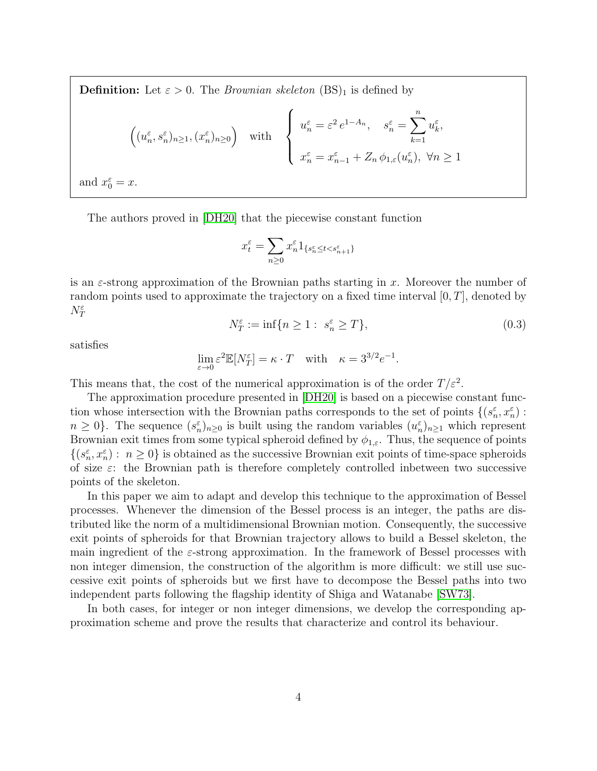**Definition:** Let  $\varepsilon > 0$ . The *Brownian skeleton* (BS)<sub>1</sub> is defined by

$$
\left( (u_n^{\varepsilon}, s_n^{\varepsilon})_{n \ge 1}, (x_n^{\varepsilon})_{n \ge 0} \right) \quad \text{with} \quad \left\{ \begin{array}{l} u_n^{\varepsilon} = \varepsilon^2 \, e^{1 - A_n}, \quad s_n^{\varepsilon} = \sum_{k=1}^n u_k^{\varepsilon}, \\ x_n^{\varepsilon} = x_{n-1}^{\varepsilon} + Z_n \, \phi_{1,\varepsilon}(u_n^{\varepsilon}), \ \forall n \ge 1 \end{array} \right.
$$
  
and  $x_0^{\varepsilon} = x$ .

The authors proved in [\[DH20\]](#page-23-8) that the piecewise constant function

$$
x_t^{\varepsilon} = \sum_{n\geq 0} x_n^{\varepsilon} 1_{\{s_n^{\varepsilon} \leq t < s_{n+1}^{\varepsilon}\}}
$$

is an  $\varepsilon$ -strong approximation of the Brownian paths starting in x. Moreover the number of random points used to approximate the trajectory on a fixed time interval  $[0, T]$ , denoted by  $N^{\varepsilon}_T$ 

$$
N_T^{\varepsilon} := \inf\{n \ge 1 : s_n^{\varepsilon} \ge T\},\tag{0.3}
$$

satisfies

$$
\lim_{\varepsilon \to 0} \varepsilon^2 \mathbb{E}[N_T^{\varepsilon}] = \kappa \cdot T \quad \text{with} \quad \kappa = 3^{3/2} e^{-1}.
$$

This means that, the cost of the numerical approximation is of the order  $T/\varepsilon^2$ .

The approximation procedure presented in [\[DH20\]](#page-23-8) is based on a piecewise constant function whose intersection with the Brownian paths corresponds to the set of points  $\{(s_n^{\varepsilon}, x_n^{\varepsilon}) :$  $n \geq 0$ . The sequence  $(s_n^{\varepsilon})_{n\geq 0}$  is built using the random variables  $(u_n^{\varepsilon})_{n\geq 1}$  which represent Brownian exit times from some typical spheroid defined by  $\phi_{1,\varepsilon}$ . Thus, the sequence of points  $\{(s_n^{\varepsilon}, x_n^{\varepsilon}): n \geq 0\}$  is obtained as the successive Brownian exit points of time-space spheroids of size  $\varepsilon$ : the Brownian path is therefore completely controlled inbetween two successive points of the skeleton.

In this paper we aim to adapt and develop this technique to the approximation of Bessel processes. Whenever the dimension of the Bessel process is an integer, the paths are distributed like the norm of a multidimensional Brownian motion. Consequently, the successive exit points of spheroids for that Brownian trajectory allows to build a Bessel skeleton, the main ingredient of the  $\varepsilon$ -strong approximation. In the framework of Bessel processes with non integer dimension, the construction of the algorithm is more difficult: we still use successive exit points of spheroids but we first have to decompose the Bessel paths into two independent parts following the flagship identity of Shiga and Watanabe [\[SW73\]](#page-23-9).

In both cases, for integer or non integer dimensions, we develop the corresponding approximation scheme and prove the results that characterize and control its behaviour.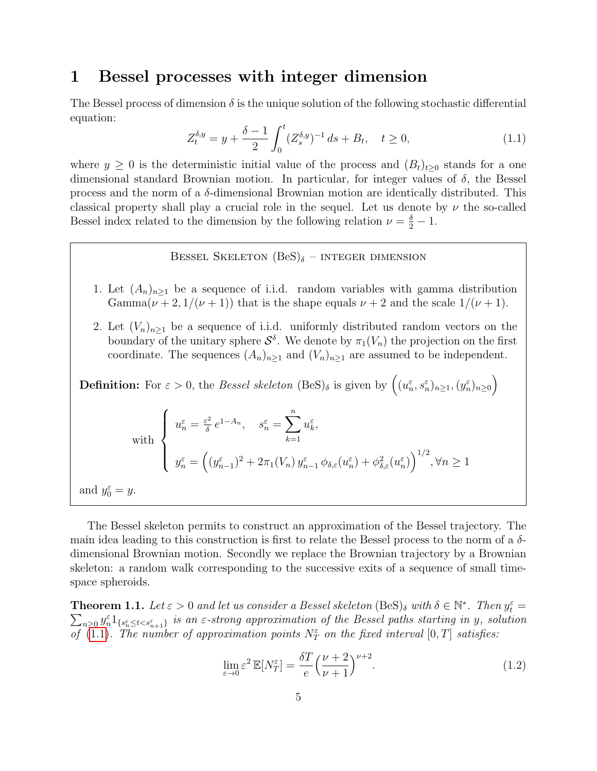## <span id="page-4-2"></span>1 Bessel processes with integer dimension

The Bessel process of dimension  $\delta$  is the unique solution of the following stochastic differential equation:

<span id="page-4-0"></span>
$$
Z_t^{\delta, y} = y + \frac{\delta - 1}{2} \int_0^t (Z_s^{\delta, y})^{-1} ds + B_t, \quad t \ge 0,
$$
\n(1.1)

where  $y \geq 0$  is the deterministic initial value of the process and  $(B_t)_{t\geq 0}$  stands for a one dimensional standard Brownian motion. In particular, for integer values of  $\delta$ , the Bessel process and the norm of a  $\delta$ -dimensional Brownian motion are identically distributed. This classical property shall play a crucial role in the sequel. Let us denote by  $\nu$  the so-called Bessel index related to the dimension by the following relation  $\nu = \frac{\delta}{2} - 1$ .

### BESSEL SKELETON  $(BeS)_{\delta}$  – INTEGER DIMENSION

- 1. Let  $(A_n)_{n\geq 1}$  be a sequence of i.i.d. random variables with gamma distribution Gamma $(\nu + 2, 1/(\nu + 1))$  that is the shape equals  $\nu + 2$  and the scale  $1/(\nu + 1)$ .
- 2. Let  $(V_n)_{n\geq 1}$  be a sequence of i.i.d. uniformly distributed random vectors on the boundary of the unitary sphere  $\mathcal{S}^{\delta}$ . We denote by  $\pi_1(V_n)$  the projection on the first coordinate. The sequences  $(A_n)_{n\geq 1}$  and  $(V_n)_{n\geq 1}$  are assumed to be independent.

**Definition:** For 
$$
\varepsilon > 0
$$
, the *Bessel skeleton* (BeS) <sub>$\delta$</sub>  is given by  $((u_n^{\varepsilon}, s_n^{\varepsilon})_{n \ge 1}, (y_n^{\varepsilon})_{n \ge 0})$   

$$
\left\{\n\begin{aligned}\nu_n^{\varepsilon} &= \frac{\varepsilon^2}{\delta} e^{1-A_n}, \quad s_n^{\varepsilon} = \sum_{k=1}^n u_k^{\varepsilon}, \\
y_n^{\varepsilon} &= \left((y_{n-1}^{\varepsilon})^2 + 2\pi_1(V_n) y_{n-1}^{\varepsilon} \phi_{\delta,\varepsilon}(u_n^{\varepsilon}) + \phi_{\delta,\varepsilon}^2(u_n^{\varepsilon})\right)^{1/2}, \forall n \ge 1\n\end{aligned}\n\right.
$$
and  $y_0^{\varepsilon} = y$ .

The Bessel skeleton permits to construct an approximation of the Bessel trajectory. The main idea leading to this construction is first to relate the Bessel process to the norm of a  $\delta$ dimensional Brownian motion. Secondly we replace the Brownian trajectory by a Brownian skeleton: a random walk corresponding to the successive exits of a sequence of small timespace spheroids.

<span id="page-4-1"></span>**Theorem 1.1.** Let  $\varepsilon > 0$  and let us consider a Bessel skeleton  $(BeS)_{\delta}$  with  $\delta \in \mathbb{N}^*$ . Then  $y_t^{\varepsilon} =$  $\sum_{n\geq 0} y_n^{\varepsilon} 1_{\{s_n^{\varepsilon} \leq t < s_{n+1}^{\varepsilon}\}}$  is an  $\varepsilon$ -strong approximation of the Bessel paths starting in y, solution of  $(1.1)$ . The number of approximation points  $N_T^{\varepsilon}$  on the fixed interval  $[0,T]$  satisfies:

<span id="page-4-3"></span>
$$
\lim_{\varepsilon \to 0} \varepsilon^2 \mathbb{E}[N_T^{\varepsilon}] = \frac{\delta T}{e} \left(\frac{\nu + 2}{\nu + 1}\right)^{\nu + 2}.
$$
\n(1.2)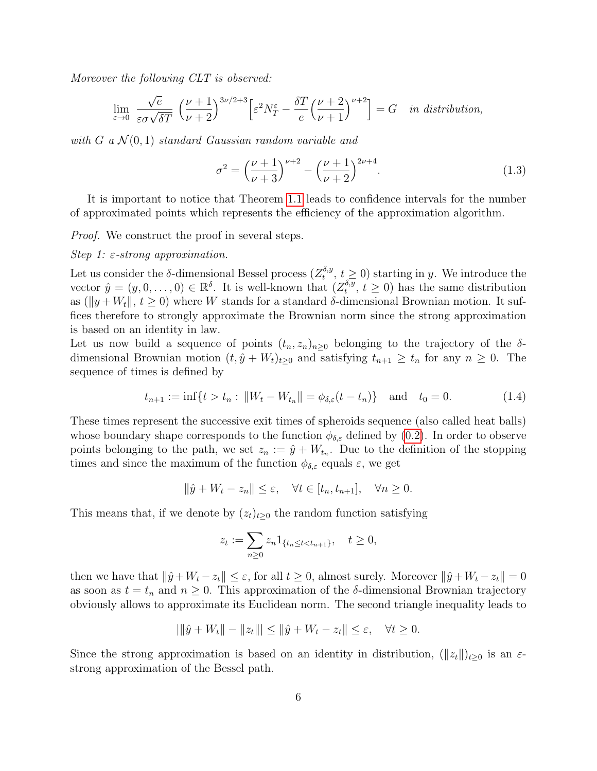Moreover the following CLT is observed:

$$
\lim_{\varepsilon \to 0} \frac{\sqrt{e}}{\varepsilon \sigma \sqrt{\delta T}} \left( \frac{\nu + 1}{\nu + 2} \right)^{3\nu/2 + 3} \left[ \varepsilon^2 N_T^{\varepsilon} - \frac{\delta T}{e} \left( \frac{\nu + 2}{\nu + 1} \right)^{\nu + 2} \right] = G \quad \text{in distribution,}
$$

with G a  $\mathcal{N}(0,1)$  standard Gaussian random variable and

<span id="page-5-0"></span>
$$
\sigma^2 = \left(\frac{\nu+1}{\nu+3}\right)^{\nu+2} - \left(\frac{\nu+1}{\nu+2}\right)^{2\nu+4}.\tag{1.3}
$$

It is important to notice that Theorem [1.1](#page-4-1) leads to confidence intervals for the number of approximated points which represents the efficiency of the approximation algorithm.

Proof. We construct the proof in several steps.

#### Step 1:  $\varepsilon$ -strong approximation.

Let us consider the  $\delta$ -dimensional Bessel process  $(Z_t^{\delta,y})$  $t_t^{\delta, y}, t \geq 0$  starting in y. We introduce the vector  $\hat{y} = (y, 0, \dots, 0) \in \mathbb{R}^{\delta}$ . It is well-known that  $(Z_t^{\delta, y})$  $t_t^{\sigma,y}$ ,  $t \geq 0$ ) has the same distribution as ( $||y + W_t||$ ,  $t \ge 0$ ) where W stands for a standard  $\delta$ -dimensional Brownian motion. It suffices therefore to strongly approximate the Brownian norm since the strong approximation is based on an identity in law.

Let us now build a sequence of points  $(t_n, z_n)_{n>0}$  belonging to the trajectory of the  $\delta$ dimensional Brownian motion  $(t, \hat{y} + W_t)_{t\geq 0}$  and satisfying  $t_{n+1} \geq t_n$  for any  $n \geq 0$ . The sequence of times is defined by

$$
t_{n+1} := \inf\{t > t_n : ||W_t - W_{t_n}|| = \phi_{\delta,\varepsilon}(t - t_n)\} \quad \text{and} \quad t_0 = 0. \tag{1.4}
$$

These times represent the successive exit times of spheroids sequence (also called heat balls) whose boundary shape corresponds to the function  $\phi_{\delta,\varepsilon}$  defined by [\(0.2\)](#page-2-1). In order to observe points belonging to the path, we set  $z_n := \hat{y} + W_{t_n}$ . Due to the definition of the stopping times and since the maximum of the function  $\phi_{\delta,\varepsilon}$  equals  $\varepsilon$ , we get

$$
\|\hat{y} + W_t - z_n\| \le \varepsilon, \quad \forall t \in [t_n, t_{n+1}], \quad \forall n \ge 0.
$$

This means that, if we denote by  $(z_t)_{t>0}$  the random function satisfying

$$
z_t := \sum_{n\geq 0} z_n 1_{\{t_n \leq t < t_{n+1}\}}, \quad t \geq 0,
$$

then we have that  $\|\hat{y}+W_t-z_t\|\leq \varepsilon$ , for all  $t\geq 0$ , almost surely. Moreover  $\|\hat{y}+W_t-z_t\|=0$ as soon as  $t = t_n$  and  $n \geq 0$ . This approximation of the  $\delta$ -dimensional Brownian trajectory obviously allows to approximate its Euclidean norm. The second triangle inequality leads to

$$
\left|\left\|\hat{y} + W_t\right\| - \left\|z_t\right\|\right| \le \left\|\hat{y} + W_t - z_t\right\| \le \varepsilon, \quad \forall t \ge 0.
$$

Since the strong approximation is based on an identity in distribution,  $(\Vert z_t \Vert)_{t>0}$  is an  $\varepsilon$ strong approximation of the Bessel path.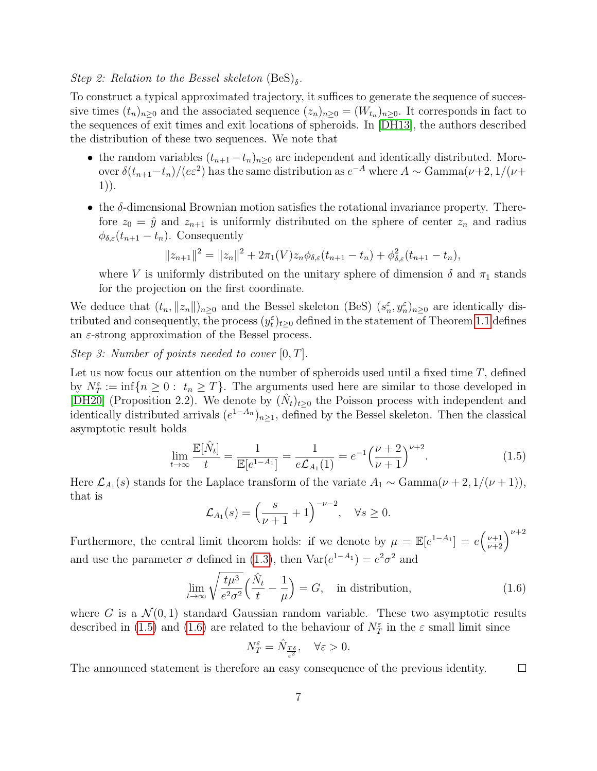## Step 2: Relation to the Bessel skeleton  $(BeS)_{\delta}$ .

To construct a typical approximated trajectory, it suffices to generate the sequence of successive times  $(t_n)_{n\geq 0}$  and the associated sequence  $(z_n)_{n\geq 0} = (W_{t_n})_{n\geq 0}$ . It corresponds in fact to the sequences of exit times and exit locations of spheroids. In [\[DH13\]](#page-23-10), the authors described the distribution of these two sequences. We note that

- the random variables  $(t_{n+1} t_n)_{n \geq 0}$  are independent and identically distributed. Moreover  $\delta(t_{n+1}-t_n)/(e\varepsilon^2)$  has the same distribution as  $e^{-A}$  where  $A \sim \text{Gamma}(\nu+2, 1/(\nu+\varepsilon))$ 1)).
- the  $\delta$ -dimensional Brownian motion satisfies the rotational invariance property. Therefore  $z_0 = \hat{y}$  and  $z_{n+1}$  is uniformly distributed on the sphere of center  $z_n$  and radius  $\phi_{\delta,\varepsilon}(t_{n+1}-t_n)$ . Consequently

$$
||z_{n+1}||^2 = ||z_n||^2 + 2\pi_1(V)z_n\phi_{\delta,\varepsilon}(t_{n+1} - t_n) + \phi_{\delta,\varepsilon}^2(t_{n+1} - t_n),
$$

where V is uniformly distributed on the unitary sphere of dimension  $\delta$  and  $\pi_1$  stands for the projection on the first coordinate.

We deduce that  $(t_n, ||z_n||)_{n\geq 0}$  and the Bessel skeleton (BeS)  $(s_n^{\varepsilon}, y_n^{\varepsilon})_{n\geq 0}$  are identically distributed and consequently, the process  $(y_t^{\varepsilon})_{t\geq0}$  defined in the statement of Theorem [1.1](#page-4-1) defines an  $\varepsilon$ -strong approximation of the Bessel process.

Step 3: Number of points needed to cover  $[0, T]$ .

Let us now focus our attention on the number of spheroids used until a fixed time  $T$ , defined by  $N_T^{\varepsilon} := \inf\{n \geq 0: t_n \geq T\}$ . The arguments used here are similar to those developed in [\[DH20\]](#page-23-8) (Proposition 2.2). We denote by  $(\hat{N}_t)_{t\geq0}$  the Poisson process with independent and identically distributed arrivals  $(e^{1-A_n})_{n\geq 1}$ , defined by the Bessel skeleton. Then the classical asymptotic result holds

<span id="page-6-0"></span>
$$
\lim_{t \to \infty} \frac{\mathbb{E}[\hat{N}_t]}{t} = \frac{1}{\mathbb{E}[e^{1-A_1}]} = \frac{1}{e\mathcal{L}_{A_1}(1)} = e^{-1} \left(\frac{\nu+2}{\nu+1}\right)^{\nu+2}.
$$
\n(1.5)

Here  $\mathcal{L}_{A_1}(s)$  stands for the Laplace transform of the variate  $A_1 \sim \text{Gamma}(\nu + 2, 1/(\nu + 1)),$ that is

$$
\mathcal{L}_{A_1}(s) = \left(\frac{s}{\nu+1} + 1\right)^{-\nu-2}, \quad \forall s \ge 0.
$$

Furthermore, the central limit theorem holds: if we denote by  $\mu = \mathbb{E}[e^{1-A_1}] = e\left(\frac{\nu+1}{\nu+2}\right)^{\nu+2}$ and use the parameter  $\sigma$  defined in [\(1.3\)](#page-5-0), then  $Var(e^{1-A_1}) = e^2 \sigma^2$  and

<span id="page-6-1"></span>
$$
\lim_{t \to \infty} \sqrt{\frac{t\mu^3}{e^2 \sigma^2}} \left(\frac{\hat{N}_t}{t} - \frac{1}{\mu}\right) = G, \quad \text{in distribution}, \tag{1.6}
$$

where G is a  $\mathcal{N}(0,1)$  standard Gaussian random variable. These two asymptotic results described in [\(1.5\)](#page-6-0) and [\(1.6\)](#page-6-1) are related to the behaviour of  $N_T^{\varepsilon}$  in the  $\varepsilon$  small limit since

$$
N_T^{\varepsilon} = \hat{N}_{\frac{T\delta}{\varepsilon^2}}, \quad \forall \varepsilon > 0.
$$

The announced statement is therefore an easy consequence of the previous identity.  $\Box$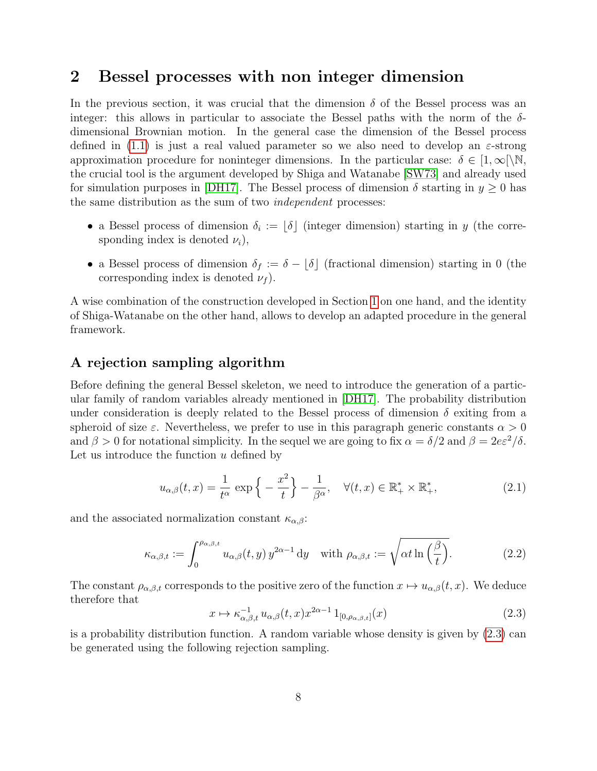## 2 Bessel processes with non integer dimension

In the previous section, it was crucial that the dimension  $\delta$  of the Bessel process was an integer: this allows in particular to associate the Bessel paths with the norm of the  $\delta$ dimensional Brownian motion. In the general case the dimension of the Bessel process defined in [\(1.1\)](#page-4-0) is just a real valued parameter so we also need to develop an  $\varepsilon$ -strong approximation procedure for noninteger dimensions. In the particular case:  $\delta \in [1,\infty)$ , the crucial tool is the argument developed by Shiga and Watanabe [\[SW73\]](#page-23-9) and already used for simulation purposes in [\[DH17\]](#page-23-11). The Bessel process of dimension  $\delta$  starting in  $y \ge 0$  has the same distribution as the sum of two independent processes:

- a Bessel process of dimension  $\delta_i := \lfloor \delta \rfloor$  (integer dimension) starting in y (the corresponding index is denoted  $\nu_i$ ,
- a Bessel process of dimension  $\delta_f := \delta \lfloor \delta \rfloor$  (fractional dimension) starting in 0 (the corresponding index is denoted  $\nu_f$ ).

A wise combination of the construction developed in Section [1](#page-4-2) on one hand, and the identity of Shiga-Watanabe on the other hand, allows to develop an adapted procedure in the general framework.

### A rejection sampling algorithm

Before defining the general Bessel skeleton, we need to introduce the generation of a particular family of random variables already mentioned in [\[DH17\]](#page-23-11). The probability distribution under consideration is deeply related to the Bessel process of dimension  $\delta$  exiting from a spheroid of size  $\varepsilon$ . Nevertheless, we prefer to use in this paragraph generic constants  $\alpha > 0$ and  $\beta > 0$  for notational simplicity. In the sequel we are going to fix  $\alpha = \delta/2$  and  $\beta = 2e\epsilon^2/\delta$ . Let us introduce the function  $u$  defined by

<span id="page-7-1"></span>
$$
u_{\alpha,\beta}(t,x) = \frac{1}{t^{\alpha}} \exp\left\{-\frac{x^2}{t}\right\} - \frac{1}{\beta^{\alpha}}, \quad \forall (t,x) \in \mathbb{R}_+^* \times \mathbb{R}_+^*,
$$
\n(2.1)

and the associated normalization constant  $\kappa_{\alpha,\beta}$ :

$$
\kappa_{\alpha,\beta,t} := \int_0^{\rho_{\alpha,\beta,t}} u_{\alpha,\beta}(t,y) y^{2\alpha-1} dy \quad \text{with } \rho_{\alpha,\beta,t} := \sqrt{\alpha t \ln\left(\frac{\beta}{t}\right)}.
$$
 (2.2)

The constant  $\rho_{\alpha,\beta,t}$  corresponds to the positive zero of the function  $x \mapsto u_{\alpha,\beta}(t,x)$ . We deduce therefore that

<span id="page-7-0"></span>
$$
x \mapsto \kappa_{\alpha,\beta,t}^{-1} u_{\alpha,\beta}(t,x) x^{2\alpha-1} 1_{[0,\rho_{\alpha,\beta,t}]}(x)
$$
\n(2.3)

is a probability distribution function. A random variable whose density is given by [\(2.3\)](#page-7-0) can be generated using the following rejection sampling.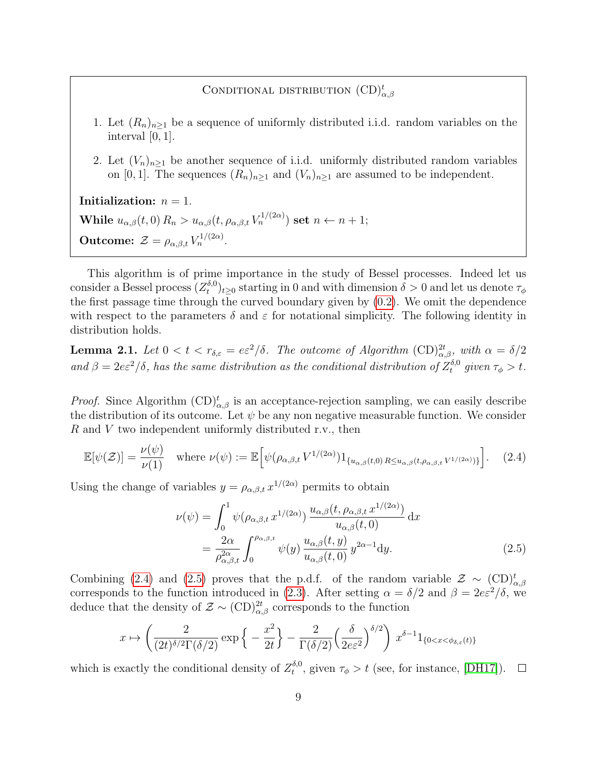## CONDITIONAL DISTRIBUTION  $(CD)_{\alpha,\beta}^t$

- 1. Let  $(R_n)_{n\geq 1}$  be a sequence of uniformly distributed i.i.d. random variables on the interval  $[0, 1]$ .
- 2. Let  $(V_n)_{n\geq 1}$  be another sequence of i.i.d. uniformly distributed random variables on [0, 1]. The sequences  $(R_n)_{n\geq 1}$  and  $(V_n)_{n\geq 1}$  are assumed to be independent.

Initialization:  $n = 1$ . While  $u_{\alpha,\beta}(t,0) R_n > u_{\alpha,\beta}(t,\rho_{\alpha,\beta,t} V_n^{1/(2\alpha)})$  set  $n \leftarrow n+1;$ **Outcome:**  $\mathcal{Z} = \rho_{\alpha,\beta,t} V_n^{1/(2\alpha)}$ .

This algorithm is of prime importance in the study of Bessel processes. Indeed let us consider a Bessel process  $(Z_t^{\delta,0})$  $(t^{o,0})_{t\geq 0}$  starting in 0 and with dimension  $\delta > 0$  and let us denote  $\tau_{\phi}$ the first passage time through the curved boundary given by [\(0.2\)](#page-2-1). We omit the dependence with respect to the parameters  $\delta$  and  $\varepsilon$  for notational simplicity. The following identity in distribution holds.

<span id="page-8-2"></span>**Lemma 2.1.** Let  $0 < t < r_{\delta,\varepsilon} = e^2/\delta$ . The outcome of Algorithm  $(\text{CD})^{2t}_{\alpha,\beta}$ , with  $\alpha = \delta/2$ and  $\beta = 2e^2/\delta$ , has the same distribution as the conditional distribution of  $Z_t^{\delta,0}$  $t_t^{0,0}$  given  $\tau_\phi > t$ .

*Proof.* Since Algorithm  $\text{CD}\substack{t}{\alpha,\beta}$  is an acceptance-rejection sampling, we can easily describe the distribution of its outcome. Let  $\psi$  be any non negative measurable function. We consider R and V two independent uniformly distributed r.v., then

$$
\mathbb{E}[\psi(\mathcal{Z})] = \frac{\nu(\psi)}{\nu(1)} \quad \text{where } \nu(\psi) := \mathbb{E}\Big[\psi(\rho_{\alpha,\beta,t} V^{1/(2\alpha)}) 1_{\{u_{\alpha,\beta}(t,0) \, R \le u_{\alpha,\beta}(t,\rho_{\alpha,\beta,t} V^{1/(2\alpha)})\}}\Big]. \tag{2.4}
$$

Using the change of variables  $y = \rho_{\alpha,\beta,t} x^{1/(2\alpha)}$  permits to obtain

<span id="page-8-1"></span><span id="page-8-0"></span>
$$
\nu(\psi) = \int_0^1 \psi(\rho_{\alpha,\beta,t} x^{1/(2\alpha)}) \frac{u_{\alpha,\beta}(t, \rho_{\alpha,\beta,t} x^{1/(2\alpha)})}{u_{\alpha,\beta}(t,0)} dx
$$
  
= 
$$
\frac{2\alpha}{\rho_{\alpha,\beta,t}^{2\alpha}} \int_0^{\rho_{\alpha,\beta,t}} \psi(y) \frac{u_{\alpha,\beta}(t,y)}{u_{\alpha,\beta}(t,0)} y^{2\alpha-1} dy.
$$
 (2.5)

Combining [\(2.4\)](#page-8-0) and [\(2.5\)](#page-8-1) proves that the p.d.f. of the random variable  $\mathcal{Z} \sim (\text{CD})_{\alpha,\beta}^t$ corresponds to the function introduced in [\(2.3\)](#page-7-0). After setting  $\alpha = \delta/2$  and  $\beta = 2e\epsilon^2/\delta$ , we deduce that the density of  $\mathcal{Z} \sim (\text{CD})^{2t}_{\alpha,\beta}$  corresponds to the function

$$
x \mapsto \left(\frac{2}{(2t)^{\delta/2} \Gamma(\delta/2)} \exp\left\{-\frac{x^2}{2t}\right\} - \frac{2}{\Gamma(\delta/2)} \left(\frac{\delta}{2e^2}\right)^{\delta/2}\right) x^{\delta-1} 1_{\{0 < x < \phi_{\delta,\varepsilon}(t)\}}
$$

which is exactly the conditional density of  $Z_t^{\delta,0}$ <sup>o,0</sup>, given  $\tau_{\phi} > t$  (see, for instance, [\[DH17\]](#page-23-11)).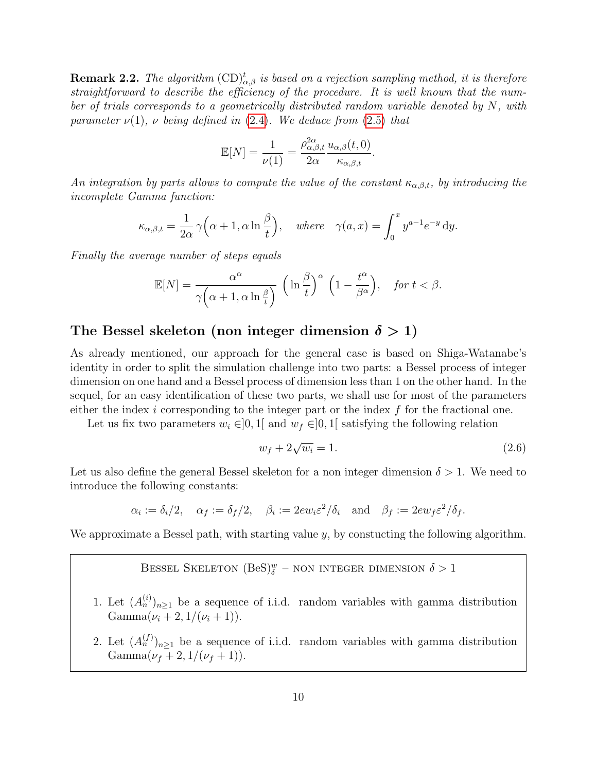**Remark 2.2.** The algorithm  $(\text{CD})^t_{\alpha,\beta}$  is based on a rejection sampling method, it is therefore straightforward to describe the efficiency of the procedure. It is well known that the number of trials corresponds to a geometrically distributed random variable denoted by  $N$ , with parameter  $\nu(1)$ , v being defined in [\(2.4\)](#page-8-0). We deduce from [\(2.5\)](#page-8-1) that

$$
\mathbb{E}[N] = \frac{1}{\nu(1)} = \frac{\rho_{\alpha,\beta,t}^{2\alpha}}{2\alpha} \frac{u_{\alpha,\beta}(t,0)}{\kappa_{\alpha,\beta,t}}.
$$

An integration by parts allows to compute the value of the constant  $\kappa_{\alpha,\beta,t}$ , by introducing the incomplete Gamma function:

$$
\kappa_{\alpha,\beta,t} = \frac{1}{2\alpha} \gamma \Big( \alpha + 1, \alpha \ln \frac{\beta}{t} \Big), \quad \text{where} \quad \gamma(a,x) = \int_0^x y^{a-1} e^{-y} \, \mathrm{d}y.
$$

Finally the average number of steps equals

$$
\mathbb{E}[N] = \frac{\alpha^{\alpha}}{\gamma \left(\alpha + 1, \alpha \ln \frac{\beta}{t}\right)} \left(\ln \frac{\beta}{t}\right)^{\alpha} \left(1 - \frac{t^{\alpha}}{\beta^{\alpha}}\right), \quad \text{for } t < \beta.
$$

## The Bessel skeleton (non integer dimension  $\delta > 1$ )

As already mentioned, our approach for the general case is based on Shiga-Watanabe's identity in order to split the simulation challenge into two parts: a Bessel process of integer dimension on one hand and a Bessel process of dimension less than 1 on the other hand. In the sequel, for an easy identification of these two parts, we shall use for most of the parameters either the index  $i$  corresponding to the integer part or the index  $f$  for the fractional one.

Let us fix two parameters  $w_i \in ]0,1]$  and  $w_f \in ]0,1]$  satisfying the following relation

<span id="page-9-0"></span>
$$
w_f + 2\sqrt{w_i} = 1.\tag{2.6}
$$

Let us also define the general Bessel skeleton for a non integer dimension  $\delta > 1$ . We need to introduce the following constants:

$$
\alpha_i := \delta_i/2, \quad \alpha_f := \delta_f/2, \quad \beta_i := 2ew_i \varepsilon^2/\delta_i \quad \text{and} \quad \beta_f := 2ew_f \varepsilon^2/\delta_f.
$$

We approximate a Bessel path, with starting value  $y$ , by constucting the following algorithm.

Bessel Skeleton 
$$
(BeS)_{\delta}^w
$$
 - non integer dimension  $\delta > 1$ 

- 1. Let  $(A_n^{(i)})_{n\geq 1}$  be a sequence of i.i.d. random variables with gamma distribution Gamma $(\nu_i + 2, 1/(\nu_i + 1)).$
- 2. Let  $(A_n^{(f)})_{n\geq 1}$  be a sequence of i.i.d. random variables with gamma distribution Gamma $(\nu_f + 2, 1/(\nu_f + 1)).$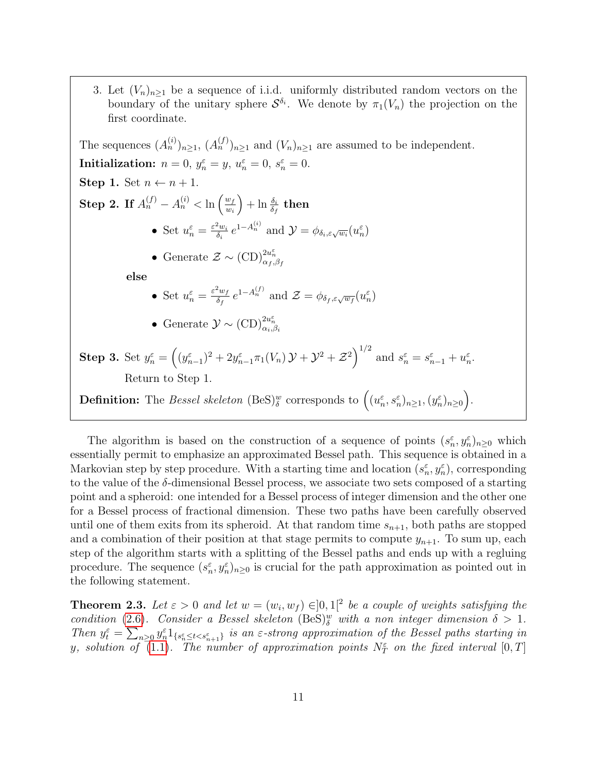3. Let  $(V_n)_{n\geq 1}$  be a sequence of i.i.d. uniformly distributed random vectors on the boundary of the unitary sphere  $\mathcal{S}^{\delta_i}$ . We denote by  $\pi_1(V_n)$  the projection on the first coordinate.

The sequences  $(A_n^{(i)})_{n\geq 1}$ ,  $(A_n^{(f)})_{n\geq 1}$  and  $(V_n)_{n\geq 1}$  are assumed to be independent. Initialization:  $n = 0$ ,  $y_n^{\varepsilon} = y$ ,  $u_n^{\varepsilon} = 0$ ,  $s_n^{\varepsilon} = 0$ . Step 1. Set  $n \leftarrow n + 1$ . **Step 2.** If  $A_n^{(f)} - A_n^{(i)} < \ln \left( \frac{w_f}{w_f} \right)$  $w_i$  $\Big) + \ln \frac{\delta_i}{\delta_f}$  then • Set  $u_n^{\varepsilon} = \frac{\varepsilon^2 w_i}{\delta_i}$  $\frac{\partial^2 w_i}{\partial_i} e^{1 - A_n^{(i)}}$  and  $\mathcal{Y} = \phi_{\delta_i, \varepsilon \sqrt{w_i}}(u_n^{\varepsilon})$ • Generate  $\mathcal{Z} \sim (\mathrm{CD})^{2u_n^{\varepsilon}}_{\alpha_f, \beta_f}$ else • Set  $u_n^{\varepsilon} = \frac{\varepsilon^2 w_f}{\delta_f}$  $\frac{\partial^2 w_f}{\partial f} e^{1 - A_n^{(f)}}$  and  $\mathcal{Z} = \phi_{\delta_f, \varepsilon \sqrt{w_f}}(u_n^{\varepsilon})$ • Generate  $\mathcal{Y} \sim (\mathrm{CD})^{2u_n^{\varepsilon}}_{\alpha_i,\beta_i}$ **Step 3.** Set  $y_n^{\varepsilon} = ((y_{n-1}^{\varepsilon})^2 + 2y_{n-1}^{\varepsilon} \pi_1(V_n) \mathcal{Y} + \mathcal{Y}^2 + \mathcal{Z}^2)^{1/2}$  and  $s_n^{\varepsilon} = s_{n-1}^{\varepsilon} + u_n^{\varepsilon}$ . Return to Step 1. **Definition:** The Bessel skeleton  $(BeS)_{\delta}^w$  corresponds to  $((u_n^{\varepsilon}, s_n^{\varepsilon})_{n \geq 1}, (y_n^{\varepsilon})_{n \geq 0})$ .

The algorithm is based on the construction of a sequence of points  $(s_n^{\varepsilon}, y_n^{\varepsilon})_{n\geq 0}$  which essentially permit to emphasize an approximated Bessel path. This sequence is obtained in a Markovian step by step procedure. With a starting time and location  $(s_n^{\varepsilon}, y_n^{\varepsilon})$ , corresponding to the value of the  $\delta$ -dimensional Bessel process, we associate two sets composed of a starting point and a spheroid: one intended for a Bessel process of integer dimension and the other one for a Bessel process of fractional dimension. These two paths have been carefully observed until one of them exits from its spheroid. At that random time  $s_{n+1}$ , both paths are stopped and a combination of their position at that stage permits to compute  $y_{n+1}$ . To sum up, each step of the algorithm starts with a splitting of the Bessel paths and ends up with a regluing procedure. The sequence  $(s_n^{\varepsilon}, y_n^{\varepsilon})_{n \geq 0}$  is crucial for the path approximation as pointed out in the following statement.

<span id="page-10-0"></span>**Theorem 2.3.** Let  $\varepsilon > 0$  and let  $w = (w_i, w_f) \in ]0,1[^2$  be a couple of weights satisfying the condition [\(2.6\)](#page-9-0). Consider a Bessel skeleton  $(BeS)_{\delta}^w$  with a non integer dimension  $\delta > 1$ . Then  $y_t^{\varepsilon} = \sum_{n\geq 0} y_n^{\varepsilon} 1_{\{s_n^{\varepsilon} \leq t < s_{n+1}^{\varepsilon}\}}$  is an  $\varepsilon$ -strong approximation of the Bessel paths starting in y, solution of  $\overline{(1.1)}$  $\overline{(1.1)}$  $\overline{(1.1)}$ . The number of approximation points  $N_{T}^{\varepsilon}$  on the fixed interval  $[0,T]$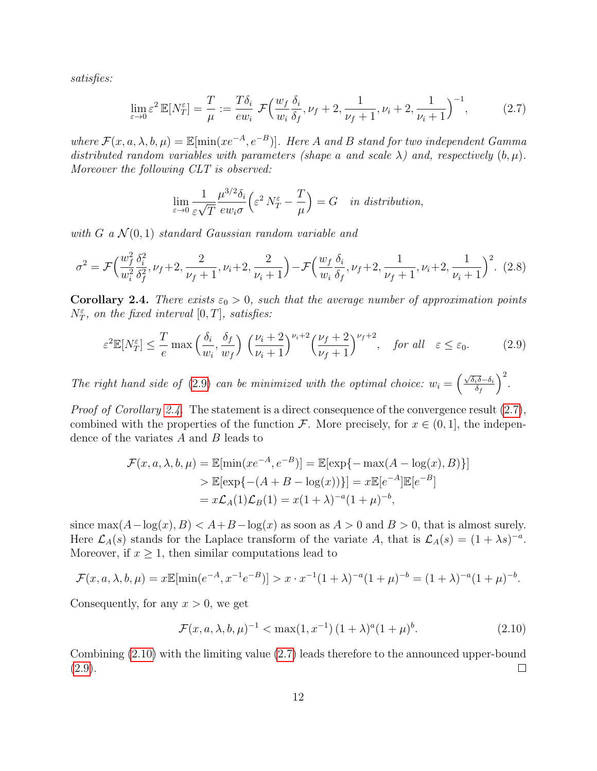satisfies:

<span id="page-11-2"></span>
$$
\lim_{\varepsilon \to 0} \varepsilon^2 \mathbb{E}[N_T^{\varepsilon}] = \frac{T}{\mu} := \frac{T\delta_i}{ew_i} \mathcal{F}\Big(\frac{w_f}{w_i} \frac{\delta_i}{\delta_f}, \nu_f + 2, \frac{1}{\nu_f + 1}, \nu_i + 2, \frac{1}{\nu_i + 1}\Big)^{-1},\tag{2.7}
$$

where  $\mathcal{F}(x, a, \lambda, b, \mu) = \mathbb{E}[\min(xe^{-A}, e^{-B})]$ . Here A and B stand for two independent Gamma distributed random variables with parameters (shape a and scale  $\lambda$ ) and, respectively  $(b, \mu)$ . Moreover the following CLT is observed:

$$
\lim_{\varepsilon \to 0} \frac{1}{\varepsilon \sqrt{T}} \frac{\mu^{3/2} \delta_i}{\varepsilon w_i \sigma} \left( \varepsilon^2 N_T^{\varepsilon} - \frac{T}{\mu} \right) = G \quad \text{in distribution},
$$

with G a  $\mathcal{N}(0,1)$  standard Gaussian random variable and

<span id="page-11-4"></span>
$$
\sigma^2 = \mathcal{F}\Big(\frac{w_f^2}{w_i^2} \frac{\delta_i^2}{\delta_f^2}, \nu_f + 2, \frac{2}{\nu_f + 1}, \nu_i + 2, \frac{2}{\nu_i + 1}\Big) - \mathcal{F}\Big(\frac{w_f}{w_i} \frac{\delta_i}{\delta_f}, \nu_f + 2, \frac{1}{\nu_f + 1}, \nu_i + 2, \frac{1}{\nu_i + 1}\Big)^2. \tag{2.8}
$$

<span id="page-11-1"></span>**Corollary 2.4.** There exists  $\varepsilon_0 > 0$ , such that the average number of approximation points  $N_T^{\varepsilon}$ , on the fixed interval  $[0, T]$ , satisfies:

<span id="page-11-0"></span>
$$
\varepsilon^2 \mathbb{E}[N_T^{\varepsilon}] \le \frac{T}{e} \max\left(\frac{\delta_i}{w_i}, \frac{\delta_f}{w_f}\right) \left(\frac{\nu_i + 2}{\nu_i + 1}\right)^{\nu_i + 2} \left(\frac{\nu_f + 2}{\nu_f + 1}\right)^{\nu_f + 2}, \quad \text{for all} \quad \varepsilon \le \varepsilon_0. \tag{2.9}
$$

The right hand side of [\(2.9\)](#page-11-0) can be minimized with the optimal choice:  $w_i = \left(\frac{\sqrt{\delta_i \delta}-\delta_i}{\delta_i}\right)$  $\delta_f$  $\big)^2$ .

*Proof of Corollary [2.4.](#page-11-1)* The statement is a direct consequence of the convergence result  $(2.7)$ , combined with the properties of the function F. More precisely, for  $x \in (0,1]$ , the independence of the variates A and B leads to

$$
\mathcal{F}(x, a, \lambda, b, \mu) = \mathbb{E}[\min(xe^{-A}, e^{-B})] = \mathbb{E}[\exp\{-\max(A - \log(x), B)\}] > \mathbb{E}[\exp\{-(A + B - \log(x))\}] = x\mathbb{E}[e^{-A}]\mathbb{E}[e^{-B}] = x\mathcal{L}_A(1)\mathcal{L}_B(1) = x(1 + \lambda)^{-a}(1 + \mu)^{-b},
$$

since  $\max(A-\log(x), B) < A+B-\log(x)$  as soon as  $A > 0$  and  $B > 0$ , that is almost surely. Here  $\mathcal{L}_A(s)$  stands for the Laplace transform of the variate A, that is  $\mathcal{L}_A(s) = (1 + \lambda s)^{-a}$ . Moreover, if  $x \geq 1$ , then similar computations lead to

$$
\mathcal{F}(x, a, \lambda, b, \mu) = x \mathbb{E}[\min(e^{-A}, x^{-1}e^{-B})] > x \cdot x^{-1}(1+\lambda)^{-a}(1+\mu)^{-b} = (1+\lambda)^{-a}(1+\mu)^{-b}.
$$

Consequently, for any  $x > 0$ , we get

<span id="page-11-3"></span>
$$
\mathcal{F}(x, a, \lambda, b, \mu)^{-1} < \max(1, x^{-1}) \left(1 + \lambda\right)^a \left(1 + \mu\right)^b. \tag{2.10}
$$

Combining [\(2.10\)](#page-11-3) with the limiting value [\(2.7\)](#page-11-2) leads therefore to the announced upper-bound  $(2.9).$  $(2.9).$  $\Box$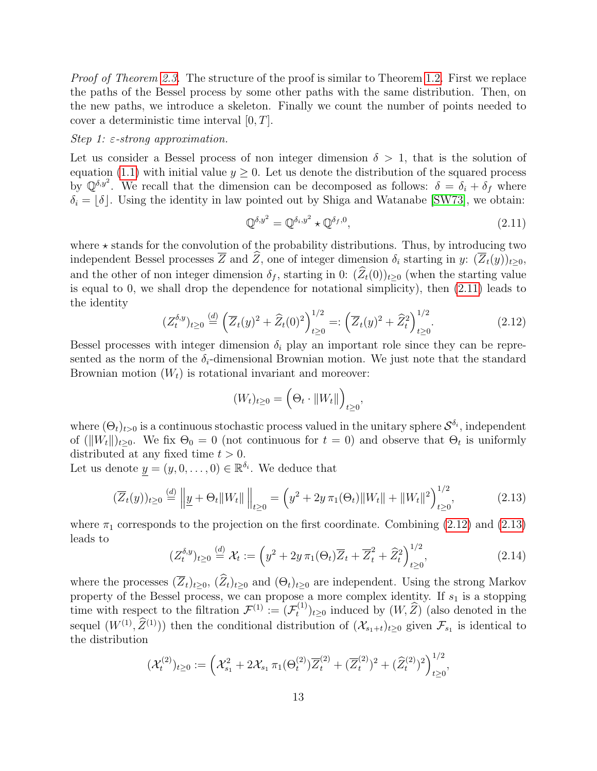Proof of Theorem [2.3.](#page-10-0) The structure of the proof is similar to Theorem [1.2.](#page-4-3) First we replace the paths of the Bessel process by some other paths with the same distribution. Then, on the new paths, we introduce a skeleton. Finally we count the number of points needed to cover a deterministic time interval  $[0, T]$ .

#### Step 1:  $\varepsilon$ -strong approximation.

Let us consider a Bessel process of non integer dimension  $\delta > 1$ , that is the solution of equation [\(1.1\)](#page-4-0) with initial value  $y \geq 0$ . Let us denote the distribution of the squared process by  $\mathbb{Q}^{\delta, y^2}$ . We recall that the dimension can be decomposed as follows:  $\delta = \delta_i + \delta_f$  where  $\delta_i = |\delta|$ . Using the identity in law pointed out by Shiga and Watanabe [\[SW73\]](#page-23-9), we obtain:

<span id="page-12-0"></span>
$$
\mathbb{Q}^{\delta, y^2} = \mathbb{Q}^{\delta_i, y^2} \star \mathbb{Q}^{\delta_f, 0},\tag{2.11}
$$

where  $\star$  stands for the convolution of the probability distributions. Thus, by introducing two independent Bessel processes  $\overline{Z}$  and  $\widehat{Z}$ , one of integer dimension  $\delta_i$  starting in y:  $(\overline{Z}_t(y))_{t>0}$ , and the other of non integer dimension  $\delta_f$ , starting in 0:  $(\widehat{Z}_t(0))_{t\geq0}$  (when the starting value is equal to 0, we shall drop the dependence for notational simplicity), then [\(2.11\)](#page-12-0) leads to the identity

<span id="page-12-1"></span>
$$
(Z_t^{\delta,y})_{t\geq 0} \stackrel{(d)}{=} \left(\overline{Z}_t(y)^2 + \widehat{Z}_t(0)^2\right)_{t\geq 0}^{1/2} =: \left(\overline{Z}_t(y)^2 + \widehat{Z}_t^2\right)_{t\geq 0}^{1/2}.\tag{2.12}
$$

Bessel processes with integer dimension  $\delta_i$  play an important role since they can be represented as the norm of the  $\delta_i$ -dimensional Brownian motion. We just note that the standard Brownian motion  $(W_t)$  is rotational invariant and moreover:

<span id="page-12-2"></span>
$$
(W_t)_{t\geq 0} = \left(\Theta_t \cdot \|W_t\|\right)_{t\geq 0},\,
$$

where  $(\Theta_t)_{t>0}$  is a continuous stochastic process valued in the unitary sphere  $\mathcal{S}^{\delta_i}$ , independent of  $(\|W_t\|)_{t\geq0}$ . We fix  $\Theta_0 = 0$  (not continuous for  $t = 0$ ) and observe that  $\Theta_t$  is uniformly distributed at any fixed time  $t > 0$ .

Let us denote  $y = (y, 0, \dots, 0) \in \mathbb{R}^{\delta_i}$ . We deduce that

$$
(\overline{Z}_t(y))_{t\geq 0} \stackrel{(d)}{=} \left\| \underline{y} + \Theta_t \|W_t\| \right\|_{t\geq 0} = \left(y^2 + 2y \,\pi_1(\Theta_t) \|W_t\| + \|W_t\|^2\right)_{t\geq 0}^{1/2},\tag{2.13}
$$

where  $\pi_1$  corresponds to the projection on the first coordinate. Combining [\(2.12\)](#page-12-1) and [\(2.13\)](#page-12-2) leads to

$$
(Z_t^{\delta,y})_{t\geq 0} \stackrel{(d)}{=} \mathcal{X}_t := \left(y^2 + 2y\,\pi_1(\Theta_t)\overline{Z}_t + \overline{Z}_t^2 + \widehat{Z}_t^2\right)_{t\geq 0}^{1/2},\tag{2.14}
$$

where the processes  $(\overline{Z}_t)_{t\geq0}$ ,  $(\widehat{Z}_t)_{t\geq0}$  and  $(\Theta_t)_{t\geq0}$  are independent. Using the strong Markov property of the Bessel process, we can propose a more complex identity. If  $s_1$  is a stopping time with respect to the filtration  $\mathcal{F}^{(1)} := (\mathcal{F}_t^{(1)})$  $(t^{(1)})_{t\geq 0}$  induced by  $(W, Z)$  (also denoted in the sequel  $(W^{(1)}, \hat{Z}^{(1)})$  then the conditional distribution of  $(\mathcal{X}_{s_1+t})_{t\geq 0}$  given  $\mathcal{F}_{s_1}$  is identical to the distribution

$$
(\mathcal{X}_t^{(2)})_{t\geq 0} := \left(\mathcal{X}_{s_1}^2 + 2\mathcal{X}_{s_1}\,\pi_1(\Theta_t^{(2)})\overline{Z}_t^{(2)} + (\overline{Z}_t^{(2)})^2 + (\widehat{Z}_t^{(2)})^2\right)_{t\geq 0}^{1/2},
$$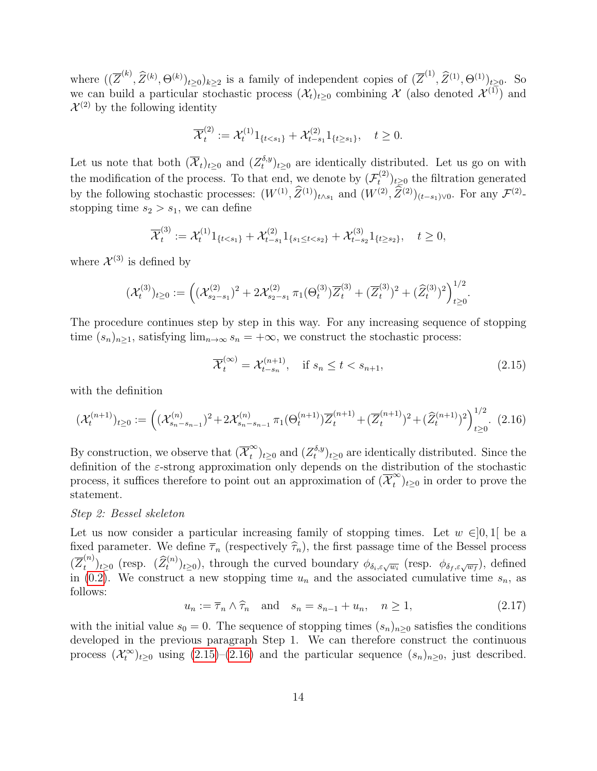where  $((\overline{Z}^{(k)},\widehat{Z}^{(k)},\Theta^{(k)})_{t\geq0})_{k\geq2}$  is a family of independent copies of  $(\overline{Z}^{(1)},\widehat{Z}^{(1)},\Theta^{(1)})_{t\geq0}$ . So we can build a particular stochastic process  $(\mathcal{X}_t)_{t\geq 0}$  combining X (also denoted  $\mathcal{X}^{(1)}$ ) and  $\mathcal{X}^{(2)}$  by the following identity

$$
\overline{\mathcal{X}}_t^{(2)} := \mathcal{X}_t^{(1)} 1_{\{t < s_1\}} + \mathcal{X}_{t-s_1}^{(2)} 1_{\{t \ge s_1\}}, \quad t \ge 0.
$$

Let us note that both  $(\overline{\mathcal{X}}_t)_{t\geq 0}$  and  $(Z_t^{\delta,y})$  $(t<sub>t</sub><sup>0,y</sup>)<sub>t\geq0</sub>$  are identically distributed. Let us go on with the modification of the process. To that end, we denote by  $(\mathcal{F}_t^{(2)})$  $(t^{(2)})_{t\geq 0}$  the filtration generated by the following stochastic processes:  $(W^{(1)}, \tilde{Z}^{(1)})_{t \wedge s_1}$  and  $(W^{(2)}, \tilde{Z}^{(2)})_{(t-s_1)\vee 0}$ . For any  $\mathcal{F}^{(2)}$ stopping time  $s_2 > s_1$ , we can define

$$
\overline{\mathcal{X}}_t^{(3)} := \mathcal{X}_t^{(1)} 1_{\{t < s_1\}} + \mathcal{X}_{t-s_1}^{(2)} 1_{\{s_1 \le t < s_2\}} + \mathcal{X}_{t-s_2}^{(3)} 1_{\{t \ge s_2\}}, \quad t \ge 0,
$$

where  $\mathcal{X}^{(3)}$  is defined by

$$
(\mathcal{X}_t^{(3)})_{t\geq 0} := \left( (\mathcal{X}_{s_2-s_1}^{(2)})^2 + 2\mathcal{X}_{s_2-s_1}^{(2)} \pi_1(\Theta_t^{(3)}) \overline{Z}_t^{(3)} + (\overline{Z}_t^{(3)})^2 + (\widehat{Z}_t^{(3)})^2 \right)_{t\geq 0}^{1/2}.
$$

The procedure continues step by step in this way. For any increasing sequence of stopping time  $(s_n)_{n\geq 1}$ , satisfying  $\lim_{n\to\infty} s_n = +\infty$ , we construct the stochastic process:

<span id="page-13-0"></span>
$$
\overline{\mathcal{X}}_t^{(\infty)} = \mathcal{X}_{t-s_n}^{(n+1)}, \quad \text{if } s_n \le t < s_{n+1}, \tag{2.15}
$$

with the definition

<span id="page-13-1"></span>
$$
(\mathcal{X}_t^{(n+1)})_{t\geq 0} := \left( (\mathcal{X}_{s_n-s_{n-1}}^{(n)})^2 + 2\mathcal{X}_{s_n-s_{n-1}}^{(n)} \pi_1(\Theta_t^{(n+1)}) \overline{Z}_t^{(n+1)} + (\overline{Z}_t^{(n+1)})^2 + (\widehat{Z}_t^{(n+1)})^2 \right)_{t\geq 0}^{1/2}.
$$
 (2.16)

By construction, we observe that  $(\overline{\mathcal{X}}_t^{\infty})$  $\binom{\infty}{t}$ <sub>t</sub><sub>20</sub> and  $(Z_t^{\delta,y})$  $(t^{o,y}_{t})_{t\geq0}$  are identically distributed. Since the definition of the  $\varepsilon$ -strong approximation only depends on the distribution of the stochastic process, it suffices therefore to point out an approximation of  $(\overline{\mathcal{X}}_t^{\infty})$  $_{t}^{\infty}$ <sub>t</sub> $\geq$ <sup>0</sup> in order to prove the statement.

### Step 2: Bessel skeleton

Let us now consider a particular increasing family of stopping times. Let  $w \in ]0,1[$  be a fixed parameter. We define  $\overline{\tau}_n$  (respectively  $\widehat{\tau}_n$ ), the first passage time of the Bessel process  $(\overline{Z}_{t}^{(n)}$  $(t^{(n)})_{t\geq 0}$  (resp.  $(\widehat{Z}_t^{(n)})_{t\geq 0}$ ), through the curved boundary  $\phi_{\delta_i,\varepsilon\sqrt{w_i}}$  (resp.  $\phi_{\delta_f,\varepsilon\sqrt{w_f}}$ ), defined in [\(0.2\)](#page-2-1). We construct a new stopping time  $u_n$  and the associated cumulative time  $s_n$ , as follows:

<span id="page-13-2"></span>
$$
u_n := \overline{\tau}_n \wedge \widehat{\tau}_n \quad \text{and} \quad s_n = s_{n-1} + u_n, \quad n \ge 1,
$$
\n
$$
(2.17)
$$

with the initial value  $s_0 = 0$ . The sequence of stopping times  $(s_n)_{n\geq 0}$  satisfies the conditions developed in the previous paragraph Step 1. We can therefore construct the continuous process  $(\mathcal{X}_t^{\infty})_{t\geq0}$  using  $(2.15)-(2.16)$  $(2.15)-(2.16)$  and the particular sequence  $(s_n)_{n\geq0}$ , just described.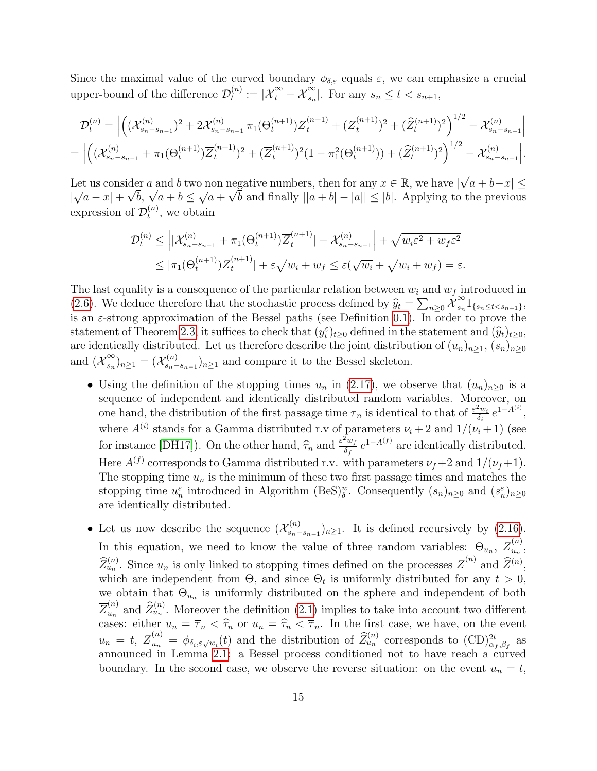Since the maximal value of the curved boundary  $\phi_{\delta,\varepsilon}$  equals  $\varepsilon$ , we can emphasize a crucial upper-bound of the difference  $\mathcal{D}_t^{(n)}$  $t^{(n)}_t:=|\overline{\mathcal{X}}_t^{\infty}-\overline{\mathcal{X}}_{s_n}^{\infty}|$  $\sum_{s_n}^{\infty}$ . For any  $s_n \leq t < s_{n+1}$ ,

$$
\mathcal{D}_{t}^{(n)} = \left| \left( (\mathcal{X}_{s_{n}-s_{n-1}}^{(n)})^{2} + 2\mathcal{X}_{s_{n}-s_{n-1}}^{(n)} \pi_{1}(\Theta_{t}^{(n+1)}) \overline{Z}_{t}^{(n+1)} + (\overline{Z}_{t}^{(n+1)})^{2} + (\widehat{Z}_{t}^{(n+1)})^{2} \right)^{1/2} - \mathcal{X}_{s_{n}-s_{n-1}}^{(n)} \right|
$$
  
=  $\left| \left( (\mathcal{X}_{s_{n}-s_{n-1}}^{(n)} + \pi_{1}(\Theta_{t}^{(n+1)}) \overline{Z}_{t}^{(n+1)})^{2} + (\overline{Z}_{t}^{(n+1)})^{2} (1 - \pi_{1}^{2}(\Theta_{t}^{(n+1)})) + (\widehat{Z}_{t}^{(n+1)})^{2} \right)^{1/2} - \mathcal{X}_{s_{n}-s_{n-1}}^{(n)} \right|.$ 

Let us consider a and b two non negative numbers, then for any  $x \in \mathbb{R}$ , we have  $|\sqrt{\ }$ der a and b two non negative numbers, then for any  $x \in \mathbb{R}$ , we have  $|\sqrt{a+b-x}| \leq$ | √  $|\overline{a} - x| + \sqrt{b}, \sqrt{a+b} \leq$ √  $\overline{a} + \sqrt{b}$  and finally  $||a + b| - |a|| \leq |b|$ . Applying to the previous expression of  $\mathcal{D}_t^{(n)}$  $t^{(n)}$ , we obtain

$$
\mathcal{D}_{t}^{(n)} \leq \left| |\mathcal{X}_{s_{n}-s_{n-1}}^{(n)} + \pi_{1}(\Theta_{t}^{(n+1)}) \overline{Z}_{t}^{(n+1)}| - \mathcal{X}_{s_{n}-s_{n-1}}^{(n)} \right| + \sqrt{w_{i}\varepsilon^{2} + w_{f}\varepsilon^{2}}
$$
  

$$
\leq |\pi_{1}(\Theta_{t}^{(n+1)}) \overline{Z}_{t}^{(n+1)}| + \varepsilon \sqrt{w_{i} + w_{f}} \leq \varepsilon(\sqrt{w_{i}} + \sqrt{w_{i} + w_{f}}) = \varepsilon.
$$

The last equality is a consequence of the particular relation between  $w_i$  and  $w_f$  introduced in [\(2.6\)](#page-9-0). We deduce therefore that the stochastic process defined by  $\hat{y}_t = \sum_{n\geq 0} \overline{\mathcal{X}}_{s_n}^{\infty}$  $\sum_{s_n}^{\infty} 1_{\{s_n \le t < s_{n+1}\}},$ is an  $\varepsilon$ -strong approximation of the Bessel paths (see Definition [0.1\)](#page-2-2). In order to prove the statement of Theorem [2.3,](#page-10-0) it suffices to check that  $(y_t^{\varepsilon})_{t\geq0}$  defined in the statement and  $(\widehat{y}_t)_{t\geq0}$ , are identically distributed. Let us therefore describe the joint distribution of  $(u_n)_{n\geq 1}$ ,  $(s_n)_{n\geq 0}$ and  $(\overline{\mathcal{X}}_{s_n}^{\infty})$  $(\alpha_{s_n}^{\infty})_{n\geq 1}=(\mathcal{X}_{s_n-}^{(n)})$  $s_n^{(n)}$ ,  $s_{n-s_{n-1}}^{(n)}$  and compare it to the Bessel skeleton.

- Using the definition of the stopping times  $u_n$  in [\(2.17\)](#page-13-2), we observe that  $(u_n)_{n>0}$  is a sequence of independent and identically distributed random variables. Moreover, on one hand, the distribution of the first passage time  $\overline{\tau}_n$  is identical to that of  $\frac{\varepsilon^2 w_i}{\delta_i}$  $\frac{\partial u_i}{\partial i} e^{1-A^{(i)}},$ where  $A^{(i)}$  stands for a Gamma distributed r.v of parameters  $\nu_i + 2$  and  $1/(\nu_i + 1)$  (see for instance [\[DH17\]](#page-23-11)). On the other hand,  $\hat{\tau}_n$  and  $\frac{\varepsilon^2 w_f}{\delta_f}$  $\frac{d^2w_f}{\delta_f}e^{1-A^{(f)}}$  are identically distributed. Here  $A^{(f)}$  corresponds to Gamma distributed r.v. with parameters  $\nu_f+2$  and  $1/(\nu_f+1)$ . The stopping time  $u_n$  is the minimum of these two first passage times and matches the stopping time  $u_n^{\varepsilon}$  introduced in Algorithm (BeS)<sup>w</sup>. Consequently  $(s_n)_{n\geq 0}$  and  $(s_n^{\varepsilon})_{n\geq 0}$ are identically distributed.
- Let us now describe the sequence  $(\mathcal{X}_{s_n}^{(n)})$  $s_n^{(n)}$ <br> $s_{n-s_{n-1}}$ )<sub>n≥1</sub>. It is defined recursively by [\(2.16\)](#page-13-1). In this equation, we need to know the value of three random variables:  $\Theta_{u_n}$ ,  $\overline{Z}_{u_n}^{(n)}$  $\frac{u}{u_n}$ ,  $\widehat{Z}_{u_n}^{(n)}$ . Since  $u_n$  is only linked to stopping times defined on the processes  $\overline{Z}^{(n)}$  and  $\widehat{Z}^{(n)}$ , which are independent from  $\Theta$ , and since  $\Theta_t$  is uniformly distributed for any  $t > 0$ , we obtain that  $\Theta_{u_n}$  is uniformly distributed on the sphere and independent of both  $\overline{Z}_{u_n}^{(n)}$  $\tilde{Z}_{u_n}^{(n)}$  and  $\tilde{Z}_{u_n}^{(n)}$ . Moreover the definition [\(2.1\)](#page-7-1) implies to take into account two different cases: either  $u_n = \overline{\tau}_n < \widehat{\tau}_n$  or  $u_n = \widehat{\tau}_n < \overline{\tau}_n$ . In the first case, we have, on the event  $u_n = t$ ,  $\overline{Z}_{u_n}^{(n)} = \phi_{\delta_i, \varepsilon \sqrt{w_i}}(t)$  and the distribution of  $\widehat{Z}_{u_n}^{(n)}$  corresponds to  $(\text{CD})_{\alpha_f, \beta_f}^{2t}$  as announced in Lemma [2.1:](#page-8-2) a Bessel process conditioned not to have reach a curved boundary. In the second case, we observe the reverse situation: on the event  $u_n = t$ ,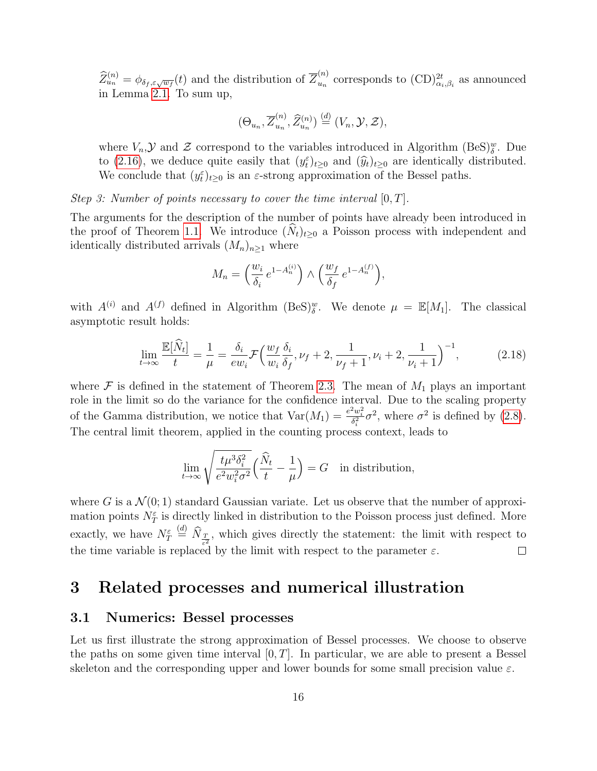$\widehat{Z}_{u_n}^{(n)} = \phi_{\delta_f, \varepsilon \sqrt{w_f}}(t)$  and the distribution of  $\overline{Z}_{u_n}^{(n)}$  $\binom{n}{u_n}$  corresponds to  $(\text{CD})^{2t}_{\alpha_i,\beta_i}$  as announced in Lemma [2.1.](#page-8-2) To sum up,

$$
(\Theta_{u_n}, \overline{Z}_{u_n}^{(n)}, \widehat{Z}_{u_n}^{(n)}) \stackrel{(d)}{=} (V_n, \mathcal{Y}, \mathcal{Z}),
$$

where  $V_n$ ,  $\mathcal Y$  and  $\mathcal Z$  correspond to the variables introduced in Algorithm (BeS) $_{\delta}^w$ . Due to [\(2.16\)](#page-13-1), we deduce quite easily that  $(y_t^{\varepsilon})_{t\geq0}$  and  $(\widehat{y}_t)_{t\geq0}$  are identically distributed.<br>We conclude that  $(y_t^{\varepsilon})$  is an  $\widehat{\varepsilon}$  strong approximation of the Bossel paths. We conclude that  $(y_t^{\varepsilon})_{t\geq 0}$  is an  $\varepsilon$ -strong approximation of the Bessel paths.

Step 3: Number of points necessary to cover the time interval  $[0, T]$ .

The arguments for the description of the number of points have already been introduced in the proof of Theorem [1.1.](#page-4-1) We introduce  $(\widehat{N}_t)_{t\geq0}$  a Poisson process with independent and identically distributed arrivals  $(M_n)_{n\geq 1}$  where

$$
M_n = \left(\frac{w_i}{\delta_i} e^{1 - A_n^{(i)}}\right) \wedge \left(\frac{w_f}{\delta_f} e^{1 - A_n^{(f)}}\right),
$$

with  $A^{(i)}$  and  $A^{(f)}$  defined in Algorithm (BeS)<sup>w</sup>. We denote  $\mu = \mathbb{E}[M_1]$ . The classical asymptotic result holds:

$$
\lim_{t \to \infty} \frac{\mathbb{E}[\hat{N}_t]}{t} = \frac{1}{\mu} = \frac{\delta_i}{ew_i} \mathcal{F} \Big( \frac{w_f}{w_i} \frac{\delta_i}{\delta_f}, \nu_f + 2, \frac{1}{\nu_f + 1}, \nu_i + 2, \frac{1}{\nu_i + 1} \Big)^{-1},\tag{2.18}
$$

where  $\mathcal F$  is defined in the statement of Theorem [2.3.](#page-10-0) The mean of  $M_1$  plays an important role in the limit so do the variance for the confidence interval. Due to the scaling property of the Gamma distribution, we notice that  $\text{Var}(M_1) = \frac{e^2 w_i^2}{\delta_i^2} \sigma^2$ , where  $\sigma^2$  is defined by [\(2.8\)](#page-11-4). The central limit theorem, applied in the counting process context, leads to

$$
\lim_{t \to \infty} \sqrt{\frac{t \mu^3 \delta_i^2}{e^2 w_i^2 \sigma^2}} \left(\frac{\widehat{N}_t}{t} - \frac{1}{\mu}\right) = G \text{ in distribution,}
$$

where G is a  $\mathcal{N}(0;1)$  standard Gaussian variate. Let us observe that the number of approximation points  $N_T^{\varepsilon}$  is directly linked in distribution to the Poisson process just defined. More  $\frac{d}{dx}$   $\widehat{N}_{\frac{T}{\varepsilon^2}}$ , which gives directly the statement: the limit with respect to exactly, we have  $N_{T}^{\varepsilon}$ the time variable is replaced by the limit with respect to the parameter  $\varepsilon$ .  $\Box$ 

## 3 Related processes and numerical illustration

### 3.1 Numerics: Bessel processes

Let us first illustrate the strong approximation of Bessel processes. We choose to observe the paths on some given time interval  $[0, T]$ . In particular, we are able to present a Bessel skeleton and the corresponding upper and lower bounds for some small precision value  $\varepsilon$ .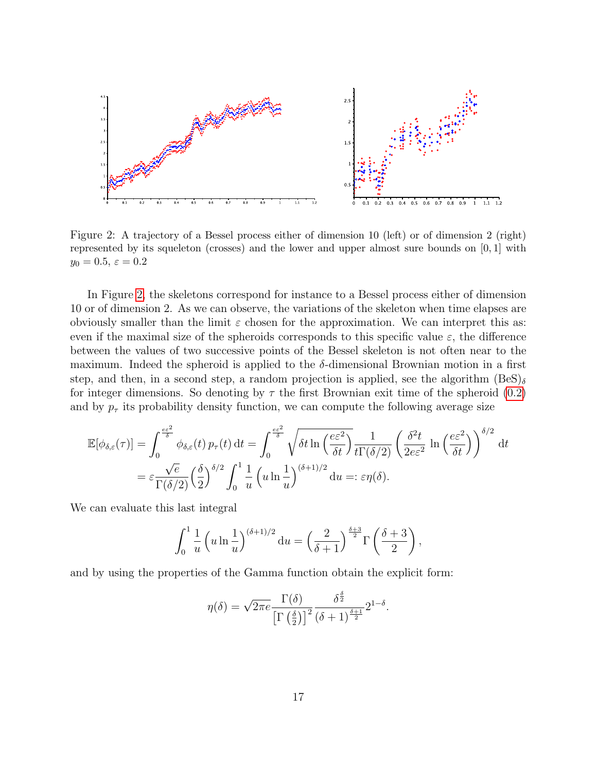

<span id="page-16-0"></span>Figure 2: A trajectory of a Bessel process either of dimension 10 (left) or of dimension 2 (right) represented by its squeleton (crosses) and the lower and upper almost sure bounds on  $[0, 1]$  with  $y_0 = 0.5, \varepsilon = 0.2$ 

In Figure [2,](#page-16-0) the skeletons correspond for instance to a Bessel process either of dimension 10 or of dimension 2. As we can observe, the variations of the skeleton when time elapses are obviously smaller than the limit  $\varepsilon$  chosen for the approximation. We can interpret this as: even if the maximal size of the spheroids corresponds to this specific value  $\varepsilon$ , the difference between the values of two successive points of the Bessel skeleton is not often near to the maximum. Indeed the spheroid is applied to the  $\delta$ -dimensional Brownian motion in a first step, and then, in a second step, a random projection is applied, see the algorithm  $(BeS)_{\delta}$ for integer dimensions. So denoting by  $\tau$  the first Brownian exit time of the spheroid [\(0.2\)](#page-2-1) and by  $p<sub>\tau</sub>$  its probability density function, we can compute the following average size

$$
\mathbb{E}[\phi_{\delta,\varepsilon}(\tau)] = \int_0^{\frac{e\varepsilon^2}{\delta}} \phi_{\delta,\varepsilon}(t) p_\tau(t) dt = \int_0^{\frac{e\varepsilon^2}{\delta}} \sqrt{\delta t \ln\left(\frac{e\varepsilon^2}{\delta t}\right)} \frac{1}{t\Gamma(\delta/2)} \left(\frac{\delta^2 t}{2e\varepsilon^2} \ln\left(\frac{e\varepsilon^2}{\delta t}\right)\right)^{\delta/2} dt
$$
  
=  $\varepsilon \frac{\sqrt{e}}{\Gamma(\delta/2)} \left(\frac{\delta}{2}\right)^{\delta/2} \int_0^1 \frac{1}{u} \left(u \ln\frac{1}{u}\right)^{(\delta+1)/2} du =: \varepsilon \eta(\delta).$ 

We can evaluate this last integral

$$
\int_0^1 \frac{1}{u} \left( u \ln \frac{1}{u} \right)^{(\delta + 1)/2} du = \left( \frac{2}{\delta + 1} \right)^{\frac{\delta + 3}{2}} \Gamma \left( \frac{\delta + 3}{2} \right),
$$

and by using the properties of the Gamma function obtain the explicit form:

$$
\eta(\delta) = \sqrt{2\pi e} \frac{\Gamma(\delta)}{\left[\Gamma\left(\frac{\delta}{2}\right)\right]^2} \frac{\delta^{\frac{\delta}{2}}}{(\delta+1)^{\frac{\delta+1}{2}}} 2^{1-\delta}.
$$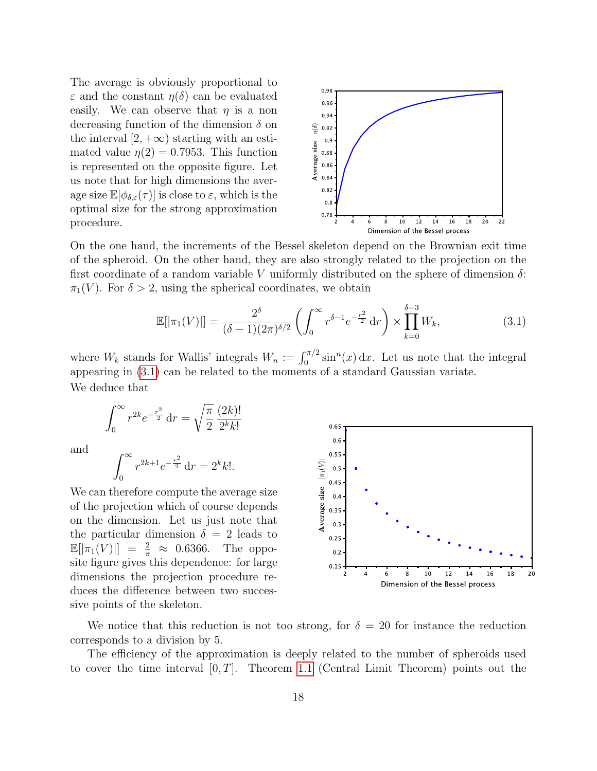The average is obviously proportional to  $\varepsilon$  and the constant  $\eta(\delta)$  can be evaluated easily. We can observe that  $\eta$  is a non decreasing function of the dimension  $\delta$  on the interval  $[2, +\infty)$  starting with an estimated value  $\eta(2) = 0.7953$ . This function is represented on the opposite figure. Let us note that for high dimensions the average size  $\mathbb{E}[\phi_{\delta,\varepsilon}(\tau)]$  is close to  $\varepsilon$ , which is the optimal size for the strong approximation procedure.



On the one hand, the increments of the Bessel skeleton depend on the Brownian exit time of the spheroid. On the other hand, they are also strongly related to the projection on the first coordinate of a random variable V uniformly distributed on the sphere of dimension  $\delta$ :  $\pi_1(V)$ . For  $\delta > 2$ , using the spherical coordinates, we obtain

$$
\mathbb{E}[|\pi_1(V)|] = \frac{2^{\delta}}{(\delta - 1)(2\pi)^{\delta/2}} \left( \int_0^\infty r^{\delta - 1} e^{-\frac{r^2}{2}} dr \right) \times \prod_{k=0}^{\delta - 3} W_k,\tag{3.1}
$$

where  $W_k$  stands for Wallis' integrals  $W_n := \int_0^{\pi/2} \sin^n(x) dx$ . Let us note that the integral appearing in [\(3.1\)](#page-17-0) can be related to the moments of a standard Gaussian variate. We deduce that

$$
\int_0^\infty r^{2k} e^{-\frac{r^2}{2}} dr = \sqrt{\frac{\pi}{2}} \frac{(2k)!}{2^k k!}
$$

and

$$
\int_0^\infty r^{2k+1} e^{-\frac{r^2}{2}} \, \mathrm{d}r = 2^k k!.
$$

We can therefore compute the average size of the projection which of course depends on the dimension. Let us just note that the particular dimension  $\delta = 2$  leads to  $\mathbb{E}[|\pi_1(V)|] = \frac{2}{\pi} \approx 0.6366$ . The opposite figure gives this dependence: for large dimensions the projection procedure reduces the difference between two successive points of the skeleton.

<span id="page-17-0"></span>

We notice that this reduction is not too strong, for  $\delta = 20$  for instance the reduction corresponds to a division by 5.

The efficiency of the approximation is deeply related to the number of spheroids used to cover the time interval  $[0, T]$ . Theorem [1.1](#page-4-1) (Central Limit Theorem) points out the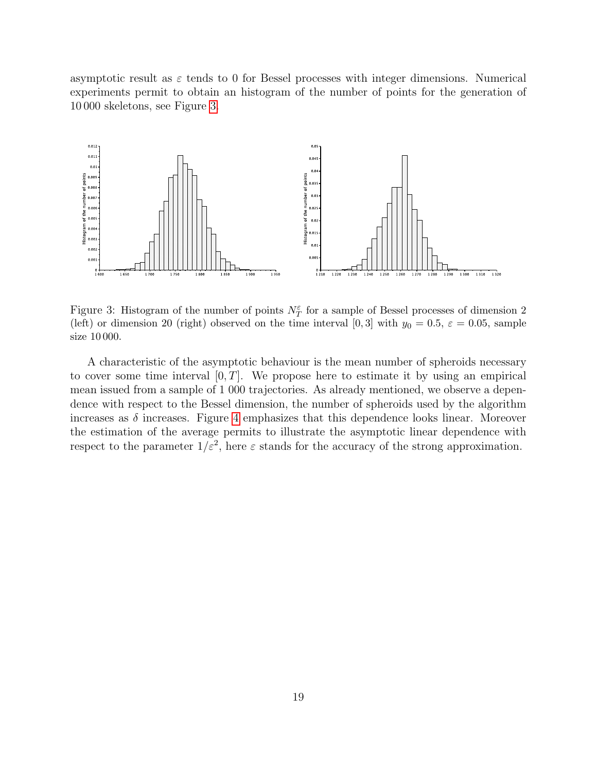asymptotic result as  $\varepsilon$  tends to 0 for Bessel processes with integer dimensions. Numerical experiments permit to obtain an histogram of the number of points for the generation of 10 000 skeletons, see Figure [3.](#page-18-0)



<span id="page-18-0"></span>Figure 3: Histogram of the number of points  $N_T^{\varepsilon}$  for a sample of Bessel processes of dimension 2 (left) or dimension 20 (right) observed on the time interval [0, 3] with  $y_0 = 0.5$ ,  $\varepsilon = 0.05$ , sample size 10 000.

A characteristic of the asymptotic behaviour is the mean number of spheroids necessary to cover some time interval  $[0, T]$ . We propose here to estimate it by using an empirical mean issued from a sample of 1 000 trajectories. As already mentioned, we observe a dependence with respect to the Bessel dimension, the number of spheroids used by the algorithm increases as  $\delta$  increases. Figure [4](#page-19-0) emphasizes that this dependence looks linear. Moreover the estimation of the average permits to illustrate the asymptotic linear dependence with respect to the parameter  $1/\varepsilon^2$ , here  $\varepsilon$  stands for the accuracy of the strong approximation.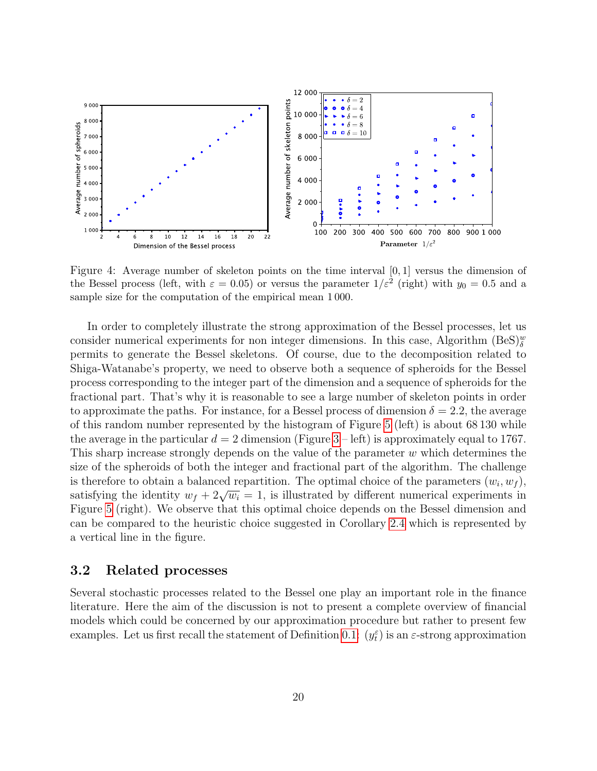

<span id="page-19-0"></span>Figure 4: Average number of skeleton points on the time interval [0, 1] versus the dimension of the Bessel process (left, with  $\varepsilon = 0.05$ ) or versus the parameter  $1/\varepsilon^2$  (right) with  $y_0 = 0.5$  and a sample size for the computation of the empirical mean 1 000.

In order to completely illustrate the strong approximation of the Bessel processes, let us consider numerical experiments for non integer dimensions. In this case, Algorithm  $(BeS)_{\delta}^w$ permits to generate the Bessel skeletons. Of course, due to the decomposition related to Shiga-Watanabe's property, we need to observe both a sequence of spheroids for the Bessel process corresponding to the integer part of the dimension and a sequence of spheroids for the fractional part. That's why it is reasonable to see a large number of skeleton points in order to approximate the paths. For instance, for a Bessel process of dimension  $\delta = 2.2$ , the average of this random number represented by the histogram of Figure [5](#page-20-0) (left) is about 68 130 while the average in the particular  $d = 2$  dimension (Figure [3](#page-18-0) – left) is approximately equal to 1767. This sharp increase strongly depends on the value of the parameter w which determines the size of the spheroids of both the integer and fractional part of the algorithm. The challenge is therefore to obtain a balanced repartition. The optimal choice of the parameters  $(w_i, w_f)$ , is therefore to obtain a balanced repartment. The optimal choice of the parameters  $(w_i, w_f)$ ,<br>satisfying the identity  $w_f + 2\sqrt{w_i} = 1$ , is illustrated by different numerical experiments in Figure [5](#page-20-0) (right). We observe that this optimal choice depends on the Bessel dimension and can be compared to the heuristic choice suggested in Corollary [2.4](#page-11-1) which is represented by a vertical line in the figure.

### 3.2 Related processes

Several stochastic processes related to the Bessel one play an important role in the finance literature. Here the aim of the discussion is not to present a complete overview of financial models which could be concerned by our approximation procedure but rather to present few examples. Let us first recall the statement of Definition [0.1:](#page-2-2)  $(y_t^{\varepsilon})$  is an  $\varepsilon$ -strong approximation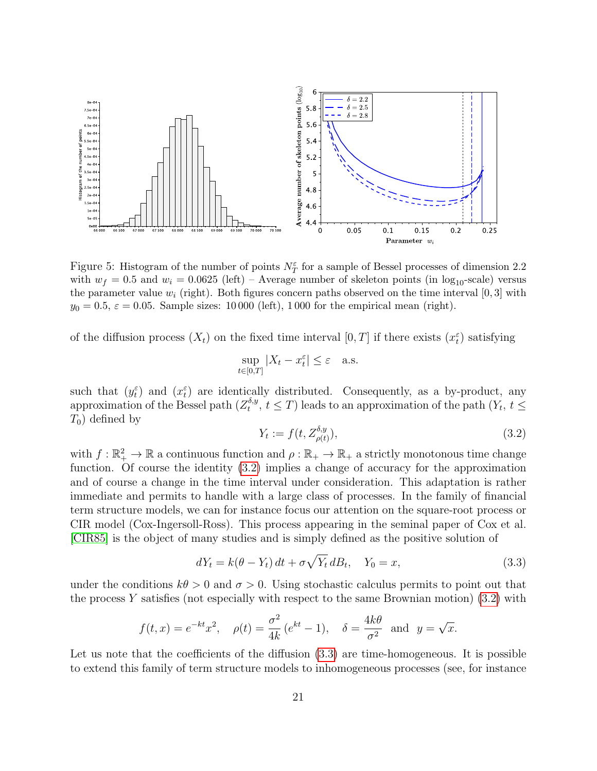

<span id="page-20-0"></span>Figure 5: Histogram of the number of points  $N_T^{\varepsilon}$  for a sample of Bessel processes of dimension 2.2 with  $w_f = 0.5$  and  $w_i = 0.0625$  (left) – Average number of skeleton points (in  $\log_{10}$ -scale) versus the parameter value  $w_i$  (right). Both figures concern paths observed on the time interval [0, 3] with  $y_0 = 0.5$ ,  $\varepsilon = 0.05$ . Sample sizes: 10 000 (left), 1 000 for the empirical mean (right).

of the diffusion process  $(X_t)$  on the fixed time interval  $[0,T]$  if there exists  $(x_t^{\varepsilon})$  satisfying

$$
\sup_{t \in [0,T]} |X_t - x_t^\varepsilon| \le \varepsilon \quad \text{a.s.}
$$

such that  $(y_t^{\varepsilon})$  and  $(x_t^{\varepsilon})$  are identically distributed. Consequently, as a by-product, any approximation of the Bessel path  $(Z_t^{\delta,y})$ <sup>o,y</sup>,  $t \leq T$ ) leads to an approximation of the path  $(Y_t, t \leq T)$  $T_0$ ) defined by

<span id="page-20-1"></span>
$$
Y_t := f(t, Z_{\rho(t)}^{\delta, y}),\tag{3.2}
$$

with  $f: \mathbb{R}_+^2 \to \mathbb{R}$  a continuous function and  $\rho: \mathbb{R}_+ \to \mathbb{R}_+$  a strictly monotonous time change function. Of course the identity [\(3.2\)](#page-20-1) implies a change of accuracy for the approximation and of course a change in the time interval under consideration. This adaptation is rather immediate and permits to handle with a large class of processes. In the family of financial term structure models, we can for instance focus our attention on the square-root process or CIR model (Cox-Ingersoll-Ross). This process appearing in the seminal paper of Cox et al. [\[CIR85\]](#page-23-12) is the object of many studies and is simply defined as the positive solution of

<span id="page-20-2"></span>
$$
dY_t = k(\theta - Y_t) dt + \sigma \sqrt{Y_t} dB_t, \quad Y_0 = x,
$$
\n(3.3)

under the conditions  $k\theta > 0$  and  $\sigma > 0$ . Using stochastic calculus permits to point out that the process Y satisfies (not especially with respect to the same Brownian motion)  $(3.2)$  with

$$
f(t, x) = e^{-kt}x^2
$$
,  $\rho(t) = \frac{\sigma^2}{4k}(e^{kt} - 1)$ ,  $\delta = \frac{4k\theta}{\sigma^2}$  and  $y = \sqrt{x}$ .

Let us note that the coefficients of the diffusion  $(3.3)$  are time-homogeneous. It is possible to extend this family of term structure models to inhomogeneous processes (see, for instance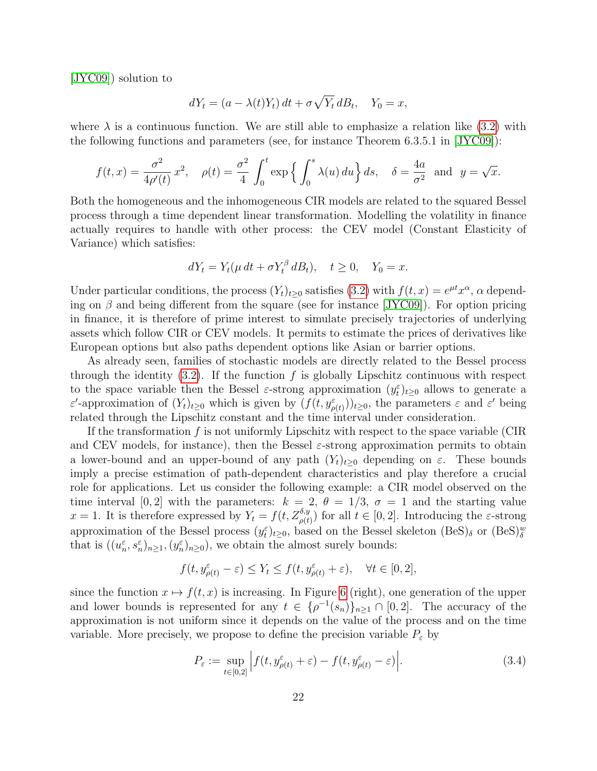[\[JYC09\]](#page-23-13)) solution to

$$
dY_t = (a - \lambda(t)Y_t) dt + \sigma \sqrt{Y_t} dB_t, \quad Y_0 = x,
$$

where  $\lambda$  is a continuous function. We are still able to emphasize a relation like [\(3.2\)](#page-20-1) with the following functions and parameters (see, for instance Theorem 6.3.5.1 in [\[JYC09\]](#page-23-13)):

$$
f(t,x) = \frac{\sigma^2}{4\rho'(t)} x^2, \quad \rho(t) = \frac{\sigma^2}{4} \int_0^t \exp\left\{\int_0^s \lambda(u) \, du\right\} ds, \quad \delta = \frac{4a}{\sigma^2} \text{ and } y = \sqrt{x}.
$$

Both the homogeneous and the inhomogeneous CIR models are related to the squared Bessel process through a time dependent linear transformation. Modelling the volatility in finance actually requires to handle with other process: the CEV model (Constant Elasticity of Variance) which satisfies:

$$
dY_t = Y_t(\mu dt + \sigma Y_t^{\beta} dB_t), \quad t \ge 0, \quad Y_0 = x.
$$

Under particular conditions, the process  $(Y_t)_{t\geq 0}$  satisfies [\(3.2\)](#page-20-1) with  $f(t, x) = e^{\mu t} x^{\alpha}$ ,  $\alpha$  depending on  $\beta$  and being different from the square (see for instance [\[JYC09\]](#page-23-13)). For option pricing in finance, it is therefore of prime interest to simulate precisely trajectories of underlying assets which follow CIR or CEV models. It permits to estimate the prices of derivatives like European options but also paths dependent options like Asian or barrier options.

As already seen, families of stochastic models are directly related to the Bessel process through the identity  $(3.2)$ . If the function f is globally Lipschitz continuous with respect to the space variable then the Bessel  $\varepsilon$ -strong approximation  $(y_t^{\varepsilon})_{t\geq0}$  allows to generate a ε'-approximation of  $(Y_t)_{t\geq0}$  which is given by  $(f(t, y_{\rho(t)}^{\varepsilon}))_{t\geq0}$ , the parameters  $\varepsilon$  and  $\varepsilon'$  being related through the Lipschitz constant and the time interval under consideration.

If the transformation f is not uniformly Lipschitz with respect to the space variable (CIR and CEV models, for instance), then the Bessel  $\varepsilon$ -strong approximation permits to obtain a lower-bound and an upper-bound of any path  $(Y_t)_{t>0}$  depending on  $\varepsilon$ . These bounds imply a precise estimation of path-dependent characteristics and play therefore a crucial role for applications. Let us consider the following example: a CIR model observed on the time interval [0, 2] with the parameters:  $k = 2$ ,  $\theta = 1/3$ ,  $\sigma = 1$  and the starting value  $x = 1$ . It is therefore expressed by  $Y_t = f(t, Z_{\rho(t)}^{\delta, y})$  for all  $t \in [0, 2]$ . Introducing the  $\varepsilon$ -strong approximation of the Bessel process  $(y_t^{\varepsilon})_{t\geq0}$ , based on the Bessel skeleton  $(BeS)_{\delta}$  or  $(BeS)_{\delta}^w$ that is  $((u_n^{\varepsilon}, s_n^{\varepsilon})_{n\geq 1}, (y_n^{\varepsilon})_{n\geq 0})$ , we obtain the almost surely bounds:

$$
f(t, y_{\rho(t)}^{\varepsilon} - \varepsilon) \le Y_t \le f(t, y_{\rho(t)}^{\varepsilon} + \varepsilon), \quad \forall t \in [0, 2],
$$

since the function  $x \mapsto f(t, x)$  is increasing. In Figure [6](#page-22-2) (right), one generation of the upper and lower bounds is represented for any  $t \in {\{\rho^{-1}(s_n)\}}_{n \geq 1} \cap [0,2]$ . The accuracy of the approximation is not uniform since it depends on the value of the process and on the time variable. More precisely, we propose to define the precision variable  $P_{\varepsilon}$  by

$$
P_{\varepsilon} := \sup_{t \in [0,2]} \left| f(t, y_{\rho(t)}^{\varepsilon} + \varepsilon) - f(t, y_{\rho(t)}^{\varepsilon} - \varepsilon) \right|.
$$
 (3.4)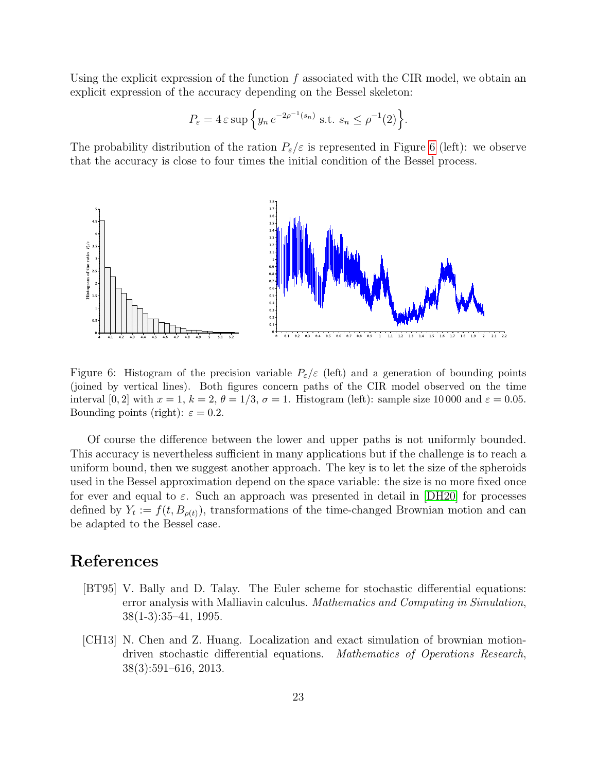Using the explicit expression of the function  $f$  associated with the CIR model, we obtain an explicit expression of the accuracy depending on the Bessel skeleton:

$$
P_{\varepsilon} = 4 \varepsilon \sup \left\{ y_n e^{-2\rho^{-1}(s_n)} \text{ s.t. } s_n \le \rho^{-1}(2) \right\}.
$$

The probability distribution of the ration  $P_{\varepsilon}/\varepsilon$  is represented in Figure [6](#page-22-2) (left): we observe that the accuracy is close to four times the initial condition of the Bessel process.



<span id="page-22-2"></span>Figure 6: Histogram of the precision variable  $P_{\varepsilon}/\varepsilon$  (left) and a generation of bounding points (joined by vertical lines). Both figures concern paths of the CIR model observed on the time interval [0, 2] with  $x = 1$ ,  $k = 2$ ,  $\theta = 1/3$ ,  $\sigma = 1$ . Histogram (left): sample size 10 000 and  $\varepsilon = 0.05$ . Bounding points (right):  $\varepsilon = 0.2$ .

Of course the difference between the lower and upper paths is not uniformly bounded. This accuracy is nevertheless sufficient in many applications but if the challenge is to reach a uniform bound, then we suggest another approach. The key is to let the size of the spheroids used in the Bessel approximation depend on the space variable: the size is no more fixed once for ever and equal to  $\varepsilon$ . Such an approach was presented in detail in [\[DH20\]](#page-23-8) for processes defined by  $Y_t := f(t, B_{\rho(t)})$ , transformations of the time-changed Brownian motion and can be adapted to the Bessel case.

# References

- <span id="page-22-0"></span>[BT95] V. Bally and D. Talay. The Euler scheme for stochastic differential equations: error analysis with Malliavin calculus. Mathematics and Computing in Simulation, 38(1-3):35–41, 1995.
- <span id="page-22-1"></span>[CH13] N. Chen and Z. Huang. Localization and exact simulation of brownian motiondriven stochastic differential equations. Mathematics of Operations Research, 38(3):591–616, 2013.